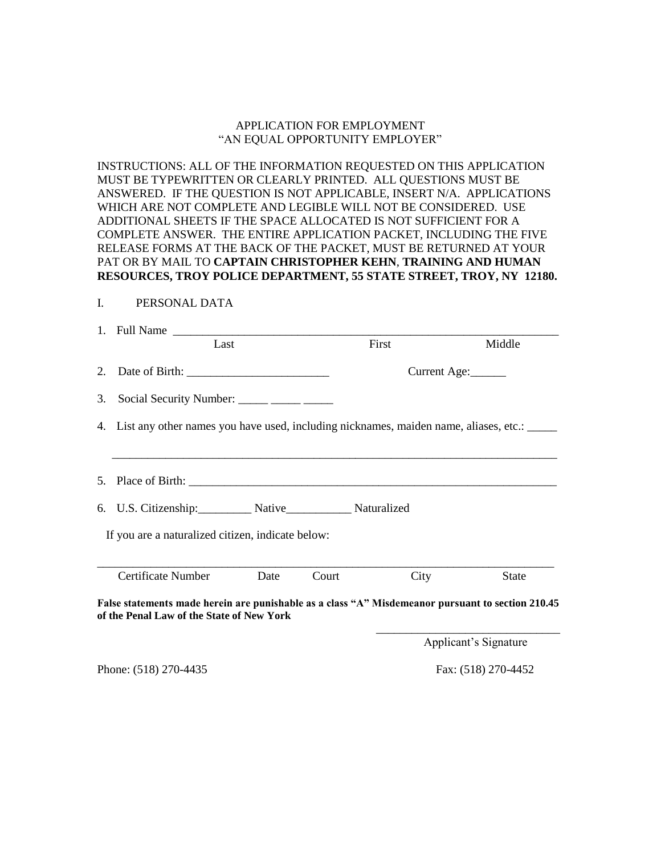# APPLICATION FOR EMPLOYMENT "AN EQUAL OPPORTUNITY EMPLOYER"

INSTRUCTIONS: ALL OF THE INFORMATION REQUESTED ON THIS APPLICATION MUST BE TYPEWRITTEN OR CLEARLY PRINTED. ALL QUESTIONS MUST BE ANSWERED. IF THE QUESTION IS NOT APPLICABLE, INSERT N/A. APPLICATIONS WHICH ARE NOT COMPLETE AND LEGIBLE WILL NOT BE CONSIDERED. USE ADDITIONAL SHEETS IF THE SPACE ALLOCATED IS NOT SUFFICIENT FOR A COMPLETE ANSWER. THE ENTIRE APPLICATION PACKET, INCLUDING THE FIVE RELEASE FORMS AT THE BACK OF THE PACKET, MUST BE RETURNED AT YOUR PAT OR BY MAIL TO **CAPTAIN CHRISTOPHER KEHN**, **TRAINING AND HUMAN RESOURCES, TROY POLICE DEPARTMENT, 55 STATE STREET, TROY, NY 12180.**

### I. PERSONAL DATA

| Last                                                                                                                                           |      |       | First        | Middle                |  |
|------------------------------------------------------------------------------------------------------------------------------------------------|------|-------|--------------|-----------------------|--|
| 2. Date of Birth: $\frac{1}{\sqrt{1-\frac{1}{2}} \cdot \frac{1}{2}}$                                                                           |      |       | Current Age: |                       |  |
| 3. Social Security Number: _____ _____ _____                                                                                                   |      |       |              |                       |  |
| 4. List any other names you have used, including nicknames, maiden name, aliases, etc.: _____                                                  |      |       |              |                       |  |
|                                                                                                                                                |      |       |              |                       |  |
| 6. U.S. Citizenship: Native Native Naturalized                                                                                                 |      |       |              |                       |  |
| If you are a naturalized citizen, indicate below:                                                                                              |      |       |              |                       |  |
| Certificate Number                                                                                                                             | Date | Court | City         | <b>State</b>          |  |
| False statements made herein are punishable as a class "A" Misdemeanor pursuant to section 210.45<br>of the Penal Law of the State of New York |      |       |              |                       |  |
|                                                                                                                                                |      |       |              | Applicant's Signature |  |

Phone: (518) 270-4435 Fax: (518) 270-4452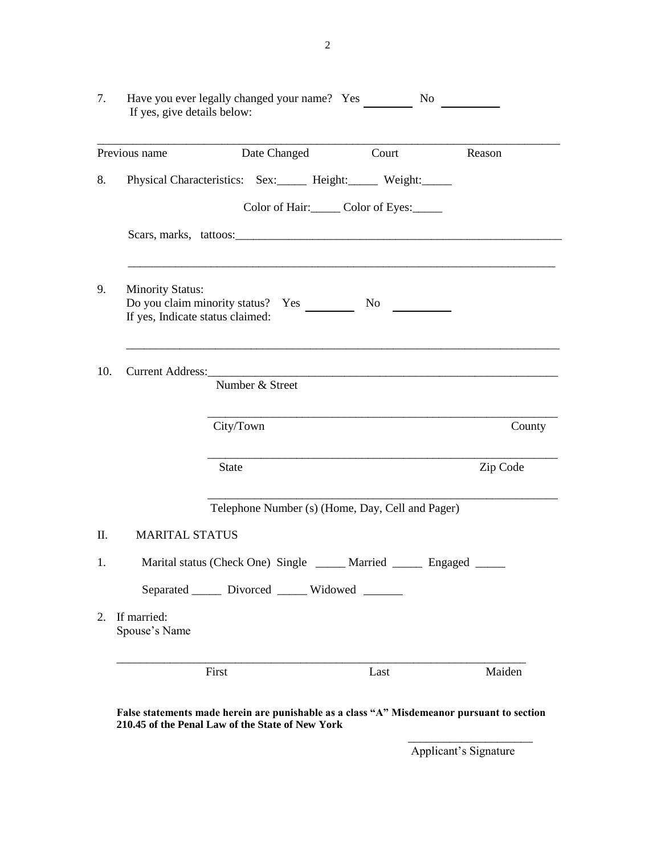| 7.  | If yes, give details below:                                 | Have you ever legally changed your name? Yes                                         | No                            |          |
|-----|-------------------------------------------------------------|--------------------------------------------------------------------------------------|-------------------------------|----------|
|     | Previous name                                               | Date Changed                                                                         | Court                         | Reason   |
| 8.  |                                                             | Physical Characteristics: Sex: Height: Weight:                                       |                               |          |
|     |                                                             |                                                                                      | Color of Hair: Color of Eyes: |          |
|     |                                                             |                                                                                      |                               |          |
| 9.  | <b>Minority Status:</b><br>If yes, Indicate status claimed: | Do you claim minority status? Yes No                                                 |                               |          |
| 10. | Current Address:                                            | <u> 1990 - Jan James James, president eta idazlear (h. 1980).</u><br>Number & Street |                               |          |
|     |                                                             | City/Town                                                                            |                               | County   |
|     |                                                             | <b>State</b>                                                                         |                               | Zip Code |
|     |                                                             | Telephone Number (s) (Home, Day, Cell and Pager)                                     |                               |          |
| Π.  | <b>MARITAL STATUS</b>                                       |                                                                                      |                               |          |
| 1.  |                                                             | Marital status (Check One) Single _____ Married _____ Engaged _____                  |                               |          |
|     |                                                             | Separated ______ Divorced ______ Widowed ______                                      |                               |          |
| 2.  | If married:<br>Spouse's Name                                |                                                                                      |                               |          |
|     |                                                             | First                                                                                | Last                          | Maiden   |

**False statements made herein are punishable as a class "A" Misdemeanor pursuant to section 210.45 of the Penal Law of the State of New York** \_\_\_\_\_\_\_\_\_\_\_\_\_\_\_\_\_\_\_\_\_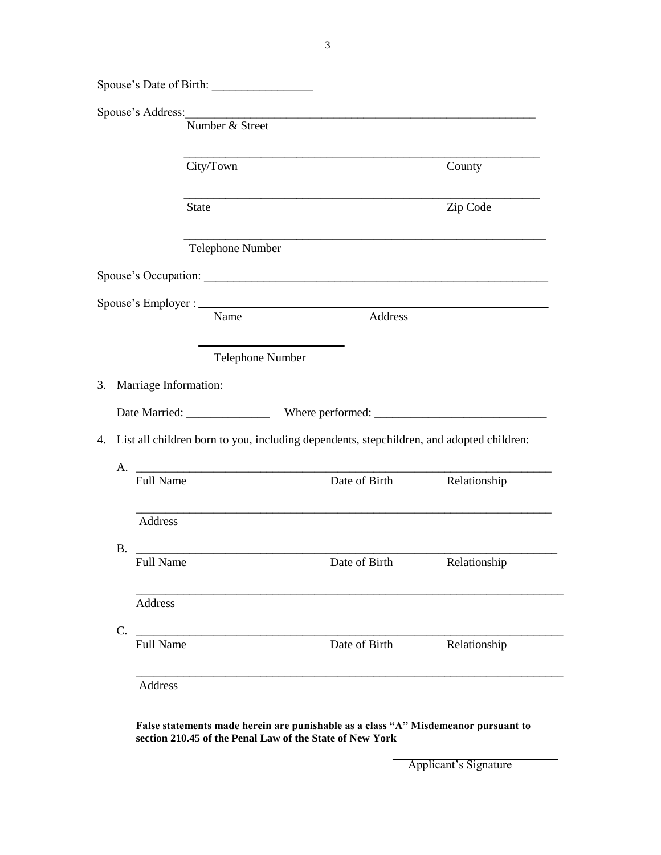|    | Spouse's Date of Birth:  |                                                                                                                                                                                                                                |              |
|----|--------------------------|--------------------------------------------------------------------------------------------------------------------------------------------------------------------------------------------------------------------------------|--------------|
|    |                          | Spouse's Address: 2008 and 2008 and 2008 and 2008 and 2008 and 2008 and 2008 and 2008 and 2008 and 2008 and 2008 and 2008 and 2008 and 2008 and 2008 and 2008 and 2008 and 2008 and 2008 and 2008 and 2008 and 2008 and 2008 a |              |
|    | Number & Street          |                                                                                                                                                                                                                                |              |
|    | City/Town                |                                                                                                                                                                                                                                | County       |
|    | <b>State</b>             |                                                                                                                                                                                                                                | Zip Code     |
|    | Telephone Number         | <u> 1989 - Johann Stoff, Amerikaansk politiker (* 1908)</u>                                                                                                                                                                    |              |
|    |                          |                                                                                                                                                                                                                                |              |
|    |                          |                                                                                                                                                                                                                                |              |
|    | Name                     | Address                                                                                                                                                                                                                        |              |
|    |                          | Telephone Number                                                                                                                                                                                                               |              |
|    | 3. Marriage Information: |                                                                                                                                                                                                                                |              |
|    |                          |                                                                                                                                                                                                                                |              |
|    |                          |                                                                                                                                                                                                                                |              |
|    |                          |                                                                                                                                                                                                                                |              |
|    |                          | 4. List all children born to you, including dependents, stepchildren, and adopted children:                                                                                                                                    |              |
|    | <b>Full Name</b>         | Date of Birth                                                                                                                                                                                                                  | Relationship |
|    | Address                  | <u> 1989 - Jan James James James James James James James James James James James James James James James James J</u>                                                                                                           |              |
|    |                          |                                                                                                                                                                                                                                |              |
|    | B.                       | Full Name Date of Birth Relationship                                                                                                                                                                                           |              |
|    | Address                  |                                                                                                                                                                                                                                |              |
| C. |                          |                                                                                                                                                                                                                                |              |
|    | <b>Full Name</b>         | Date of Birth                                                                                                                                                                                                                  | Relationship |
|    | <b>Address</b>           |                                                                                                                                                                                                                                |              |

**False statements made herein are punishable as a class "A" Misdemeanor pursuant to section 210.45 of the Penal Law of the State of New York**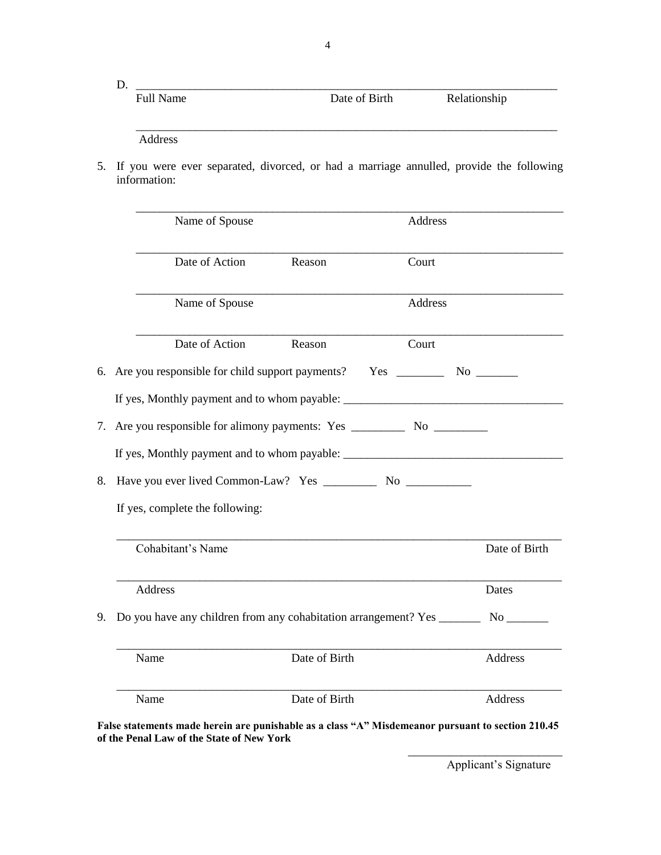| <b>Full Name</b> | Date of Birth | Relationship |  |
|------------------|---------------|--------------|--|
|                  |               |              |  |
|                  |               |              |  |

Address

5. If you were ever separated, divorced, or had a marriage annulled, provide the following information:

|    | Name of Spouse                                                                  |               | Address |               |
|----|---------------------------------------------------------------------------------|---------------|---------|---------------|
|    | Date of Action                                                                  | Reason        | Court   |               |
|    | Name of Spouse                                                                  |               | Address |               |
|    | Date of Action                                                                  | Reason        | Court   |               |
|    | 6. Are you responsible for child support payments? Yes ___________ No _________ |               |         |               |
|    |                                                                                 |               |         |               |
| 7. |                                                                                 |               |         |               |
|    |                                                                                 |               |         |               |
| 8. |                                                                                 |               |         |               |
|    | If yes, complete the following:                                                 |               |         |               |
|    | Cohabitant's Name                                                               |               |         | Date of Birth |
|    | Address                                                                         |               |         | Dates         |
| 9. |                                                                                 |               |         |               |
|    | Name                                                                            | Date of Birth |         | Address       |
|    | Name                                                                            | Date of Birth |         | Address       |
|    |                                                                                 |               |         |               |

**False statements made herein are punishable as a class "A" Misdemeanor pursuant to section 210.45 of the Penal Law of the State of New York**

> \_\_\_\_\_\_\_\_\_\_\_\_\_\_\_\_\_\_\_\_\_\_\_\_\_\_ Applicant's Signature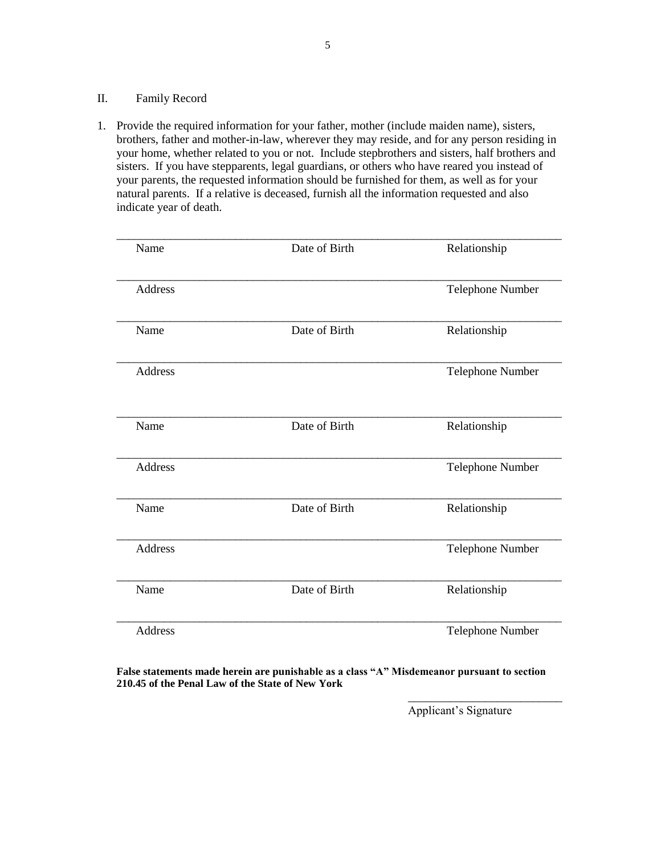#### II. Family Record

1. Provide the required information for your father, mother (include maiden name), sisters, brothers, father and mother-in-law, wherever they may reside, and for any person residing in your home, whether related to you or not. Include stepbrothers and sisters, half brothers and sisters. If you have stepparents, legal guardians, or others who have reared you instead of your parents, the requested information should be furnished for them, as well as for your natural parents. If a relative is deceased, furnish all the information requested and also indicate year of death.

| Name           | Date of Birth | Relationship            |
|----------------|---------------|-------------------------|
| <b>Address</b> |               | Telephone Number        |
| Name           | Date of Birth | Relationship            |
| <b>Address</b> |               | Telephone Number        |
| Name           | Date of Birth | Relationship            |
| <b>Address</b> |               | <b>Telephone Number</b> |
| Name           | Date of Birth | Relationship            |
| <b>Address</b> |               | Telephone Number        |
| Name           | Date of Birth | Relationship            |
| <b>Address</b> |               | Telephone Number        |

**False statements made herein are punishable as a class "A" Misdemeanor pursuant to section 210.45 of the Penal Law of the State of New York**

Applicant's Signature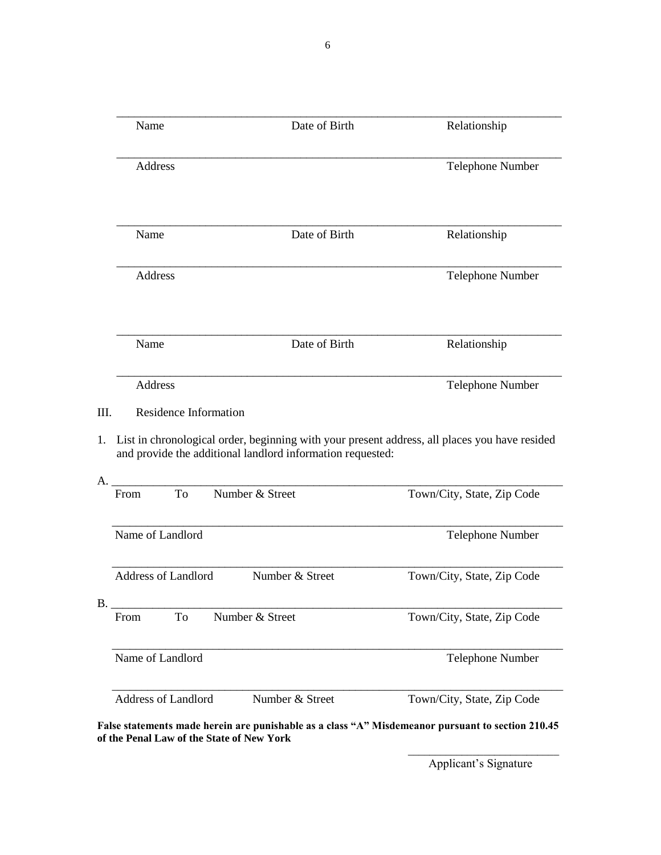\_\_\_\_\_\_\_\_\_\_\_\_\_\_\_\_\_\_\_\_\_\_\_\_\_\_\_\_\_\_\_\_\_\_\_\_\_\_\_\_\_\_\_\_\_\_\_\_\_\_\_\_\_\_\_\_\_\_\_\_\_\_\_\_\_\_\_\_\_\_\_\_\_\_\_ Name Date of Birth Relationship \_\_\_\_\_\_\_\_\_\_\_\_\_\_\_\_\_\_\_\_\_\_\_\_\_\_\_\_\_\_\_\_\_\_\_\_\_\_\_\_\_\_\_\_\_\_\_\_\_\_\_\_\_\_\_\_\_\_\_\_\_\_\_\_\_\_\_\_\_\_\_\_\_\_\_ Address Telephone Number \_\_\_\_\_\_\_\_\_\_\_\_\_\_\_\_\_\_\_\_\_\_\_\_\_\_\_\_\_\_\_\_\_\_\_\_\_\_\_\_\_\_\_\_\_\_\_\_\_\_\_\_\_\_\_\_\_\_\_\_\_\_\_\_\_\_\_\_\_\_\_\_\_\_\_ Name Date of Birth Relationship \_\_\_\_\_\_\_\_\_\_\_\_\_\_\_\_\_\_\_\_\_\_\_\_\_\_\_\_\_\_\_\_\_\_\_\_\_\_\_\_\_\_\_\_\_\_\_\_\_\_\_\_\_\_\_\_\_\_\_\_\_\_\_\_\_\_\_\_\_\_\_\_\_\_\_ Address Telephone Number \_\_\_\_\_\_\_\_\_\_\_\_\_\_\_\_\_\_\_\_\_\_\_\_\_\_\_\_\_\_\_\_\_\_\_\_\_\_\_\_\_\_\_\_\_\_\_\_\_\_\_\_\_\_\_\_\_\_\_\_\_\_\_\_\_\_\_\_\_\_\_\_\_\_\_ Name Date of Birth Relationship \_\_\_\_\_\_\_\_\_\_\_\_\_\_\_\_\_\_\_\_\_\_\_\_\_\_\_\_\_\_\_\_\_\_\_\_\_\_\_\_\_\_\_\_\_\_\_\_\_\_\_\_\_\_\_\_\_\_\_\_\_\_\_\_\_\_\_\_\_\_\_\_\_\_\_ Address Telephone Number III. Residence Information 1. List in chronological order, beginning with your present address, all places you have resided and provide the additional landlord information requested: A. \_\_\_\_\_\_\_\_\_\_\_\_\_\_\_\_\_\_\_\_\_\_\_\_\_\_\_\_\_\_\_\_\_\_\_\_\_\_\_\_\_\_\_\_\_\_\_\_\_\_\_\_\_\_\_\_\_\_\_\_\_\_\_\_\_\_\_\_\_\_\_\_\_\_\_\_ From To Number & Street Town/City, State, Zip Code \_\_\_\_\_\_\_\_\_\_\_\_\_\_\_\_\_\_\_\_\_\_\_\_\_\_\_\_\_\_\_\_\_\_\_\_\_\_\_\_\_\_\_\_\_\_\_\_\_\_\_\_\_\_\_\_\_\_\_\_\_\_\_\_\_\_\_\_\_\_\_\_\_\_\_\_ Name of Landlord Telephone Number \_\_\_\_\_\_\_\_\_\_\_\_\_\_\_\_\_\_\_\_\_\_\_\_\_\_\_\_\_\_\_\_\_\_\_\_\_\_\_\_\_\_\_\_\_\_\_\_\_\_\_\_\_\_\_\_\_\_\_\_\_\_\_\_\_\_\_\_\_\_\_\_\_\_\_\_ Address of Landlord Number & Street Town/City, State, Zip Code B. \_\_\_\_\_\_\_\_\_\_\_\_\_\_\_\_\_\_\_\_\_\_\_\_\_\_\_\_\_\_\_\_\_\_\_\_\_\_\_\_\_\_\_\_\_\_\_\_\_\_\_\_\_\_\_\_\_\_\_\_\_\_\_\_\_\_\_\_\_\_\_\_\_\_\_\_ From To Number & Street Town/City, State, Zip Code \_\_\_\_\_\_\_\_\_\_\_\_\_\_\_\_\_\_\_\_\_\_\_\_\_\_\_\_\_\_\_\_\_\_\_\_\_\_\_\_\_\_\_\_\_\_\_\_\_\_\_\_\_\_\_\_\_\_\_\_\_\_\_\_\_\_\_\_\_\_\_\_\_\_\_\_ Name of Landlord Telephone Number \_\_\_\_\_\_\_\_\_\_\_\_\_\_\_\_\_\_\_\_\_\_\_\_\_\_\_\_\_\_\_\_\_\_\_\_\_\_\_\_\_\_\_\_\_\_\_\_\_\_\_\_\_\_\_\_\_\_\_\_\_\_\_\_\_\_\_\_\_\_\_\_\_\_\_\_ Address of Landlord Number & Street Town/City, State, Zip Code

**False statements made herein are punishable as a class "A" Misdemeanor pursuant to section 210.45 of the Penal Law of the State of New York**

6

\_\_\_\_\_\_\_\_\_\_\_\_\_\_\_\_\_\_\_\_\_\_\_\_\_\_\_\_ Applicant's Signature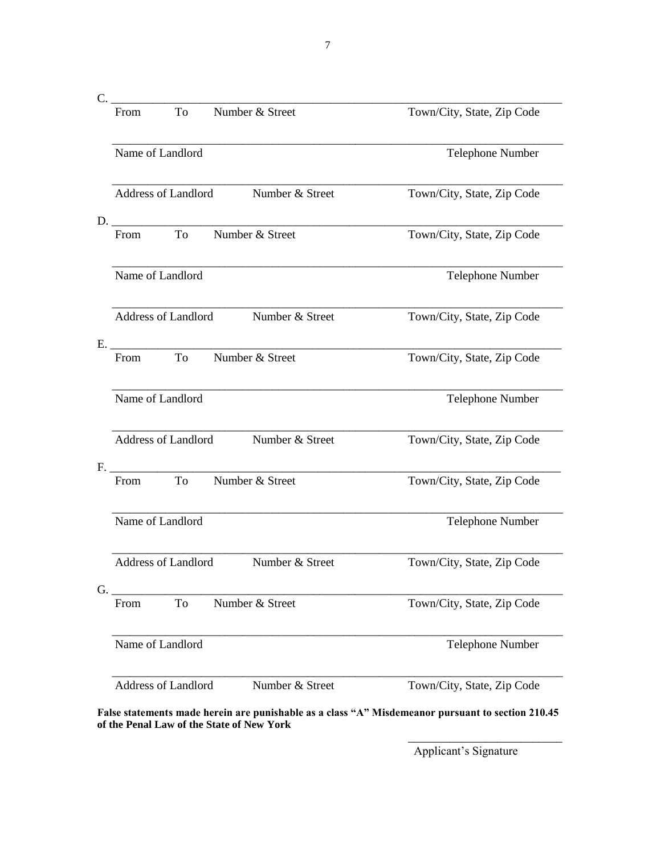| Town/City, State, Zip Code                                                                        |
|---------------------------------------------------------------------------------------------------|
|                                                                                                   |
| Telephone Number                                                                                  |
| Town/City, State, Zip Code                                                                        |
| Town/City, State, Zip Code                                                                        |
| Telephone Number                                                                                  |
| Town/City, State, Zip Code                                                                        |
| Town/City, State, Zip Code                                                                        |
| Telephone Number                                                                                  |
| Town/City, State, Zip Code                                                                        |
| Town/City, State, Zip Code                                                                        |
| Telephone Number                                                                                  |
| Town/City, State, Zip Code                                                                        |
| Town/City, State, Zip Code                                                                        |
| Telephone Number                                                                                  |
| Town/City, State, Zip Code                                                                        |
| False statements made herein are punishable as a class "A" Misdemeanor pursuant to section 210.45 |

**of the Penal Law of the State of New York**

Applicant's Signature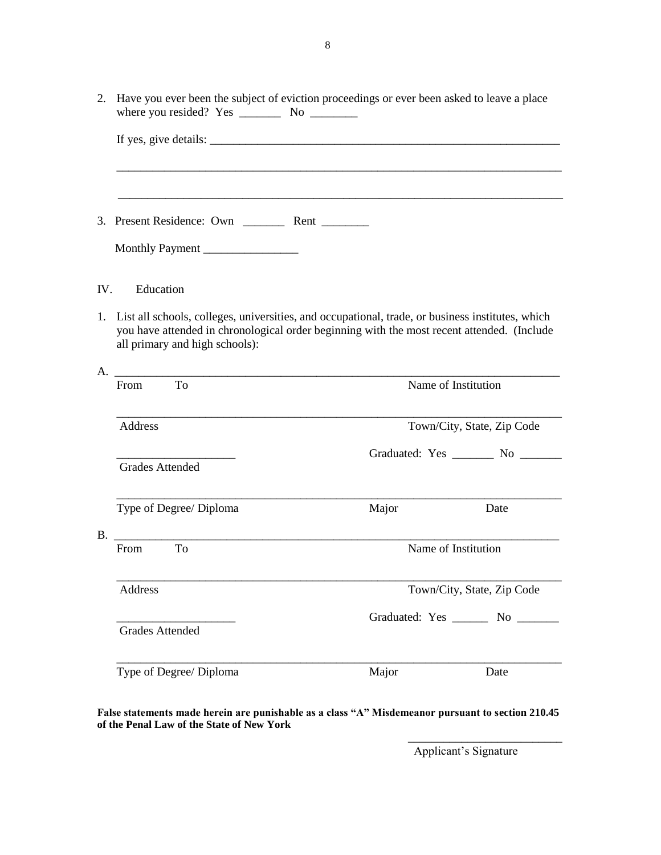|     |                                | 2. Have you ever been the subject of eviction proceedings or ever been asked to leave a place                                                                                                  |                                    |
|-----|--------------------------------|------------------------------------------------------------------------------------------------------------------------------------------------------------------------------------------------|------------------------------------|
|     |                                |                                                                                                                                                                                                |                                    |
|     |                                |                                                                                                                                                                                                |                                    |
|     |                                |                                                                                                                                                                                                |                                    |
|     | Monthly Payment                |                                                                                                                                                                                                |                                    |
| IV. | Education                      |                                                                                                                                                                                                |                                    |
| 1.  | all primary and high schools): | List all schools, colleges, universities, and occupational, trade, or business institutes, which<br>you have attended in chronological order beginning with the most recent attended. (Include |                                    |
|     | A.                             |                                                                                                                                                                                                |                                    |
|     | To<br>From                     | Name of Institution                                                                                                                                                                            |                                    |
|     | Address                        |                                                                                                                                                                                                | Town/City, State, Zip Code         |
|     |                                |                                                                                                                                                                                                | Graduated: Yes ________ No _______ |
|     | <b>Grades Attended</b>         |                                                                                                                                                                                                |                                    |
|     | Type of Degree/ Diploma        | Major                                                                                                                                                                                          | Date                               |
|     | B.<br>To<br>From               | Name of Institution                                                                                                                                                                            |                                    |
|     | Address                        |                                                                                                                                                                                                | Town/City, State, Zip Code         |
|     |                                |                                                                                                                                                                                                | Graduated: Yes _______ No _______  |
|     | <b>Grades Attended</b>         |                                                                                                                                                                                                |                                    |
|     | Type of Degree/ Diploma        | Major                                                                                                                                                                                          | Date                               |
|     |                                |                                                                                                                                                                                                |                                    |

**False statements made herein are punishable as a class "A" Misdemeanor pursuant to section 210.45 of the Penal Law of the State of New York** \_\_\_\_\_\_\_\_\_\_\_\_\_\_\_\_\_\_\_\_\_\_\_\_\_\_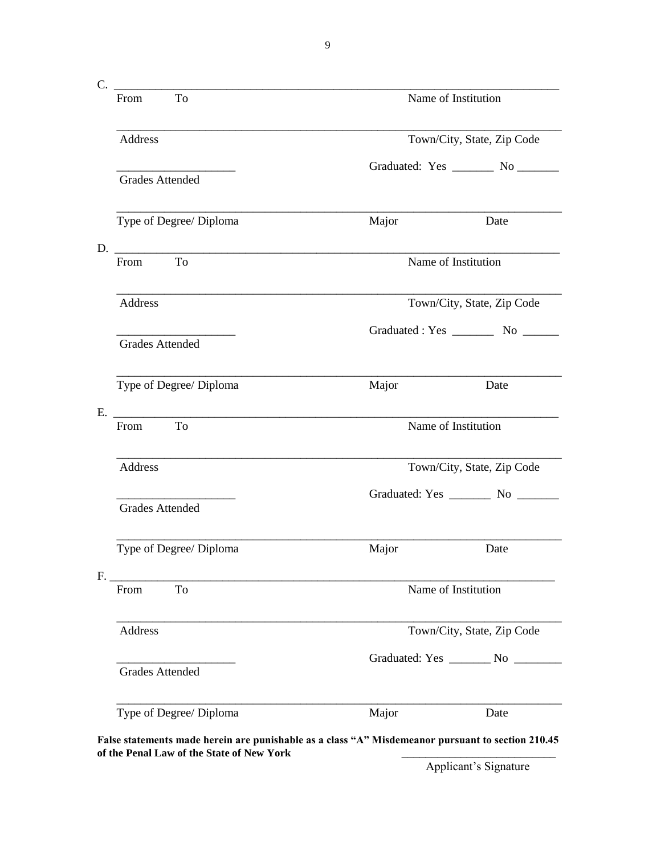| To<br>From                                       |                     | Name of Institution                  |  |
|--------------------------------------------------|---------------------|--------------------------------------|--|
| Address                                          |                     | Town/City, State, Zip Code           |  |
| <b>Grades Attended</b>                           |                     | Graduated: Yes ________ No _______   |  |
| Type of Degree/ Diploma                          | Major               | Date                                 |  |
| To<br>From                                       |                     | Name of Institution                  |  |
| Address                                          |                     | Town/City, State, Zip Code           |  |
| <b>Grades Attended</b>                           |                     |                                      |  |
| Type of Degree/ Diploma                          | Major               | Date                                 |  |
| E. <u>________________________</u><br>To<br>From | Name of Institution |                                      |  |
| Address                                          |                     | Town/City, State, Zip Code           |  |
| <b>Grades Attended</b>                           |                     |                                      |  |
| Type of Degree/ Diploma                          | Major               | Date                                 |  |
| F.<br>To<br>From                                 |                     | Name of Institution                  |  |
| Address                                          |                     | Town/City, State, Zip Code           |  |
| <b>Grades Attended</b>                           |                     | Graduated: Yes _________ No ________ |  |
| Type of Degree/ Diploma                          | Major               | Date                                 |  |

of the Penal Law of the State of New York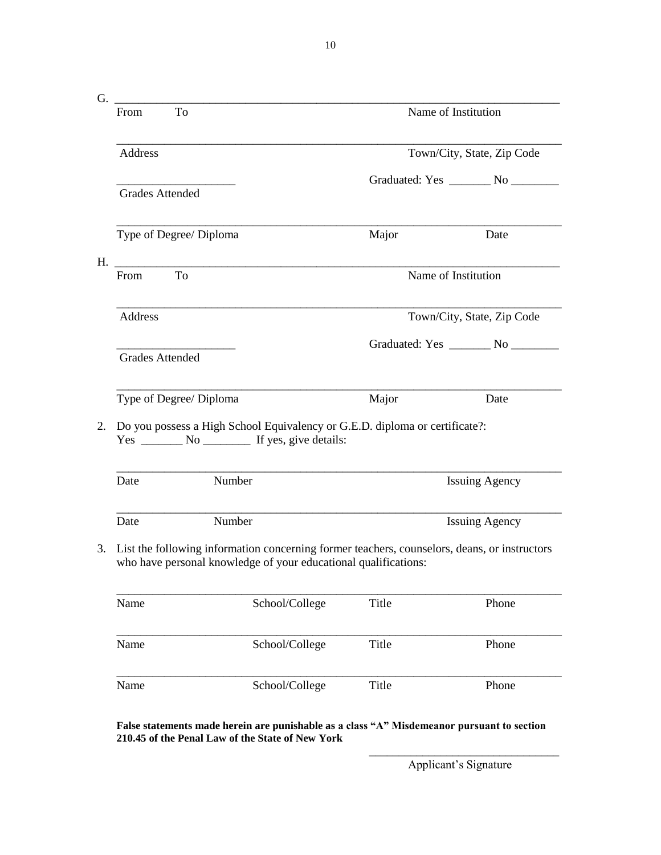$G.$   $\hskip1cm$   $\hskip1cm$   $\hskip1cm$   $\hskip1cm$   $\hskip1cm$   $\hskip1cm$   $\hskip1cm$   $\hskip1cm$   $\hskip1cm$   $\hskip1cm$   $\hskip1cm$   $\hskip1cm$   $\hskip1cm$   $\hskip1cm$   $\hskip1cm$   $\hskip1cm$   $\hskip1cm$   $\hskip1cm$   $\hskip1cm$   $\hskip1cm$   $\hskip1cm$   $\hskip1cm$   $\hskip1cm$   $\hskip1cm$   $\hskip1cm$   $\hskip1cm$   $\hskip1cm$  From To Name of Institution \_\_\_\_\_\_\_\_\_\_\_\_\_\_\_\_\_\_\_\_\_\_\_\_\_\_\_\_\_\_\_\_\_\_\_\_\_\_\_\_\_\_\_\_\_\_\_\_\_\_\_\_\_\_\_\_\_\_\_\_\_\_\_\_\_\_\_\_\_\_\_\_\_\_\_ Address Town/City, State, Zip Code Graduated: Yes \_\_\_\_\_\_\_\_ No \_\_\_\_\_\_\_\_ Grades Attended \_\_\_\_\_\_\_\_\_\_\_\_\_\_\_\_\_\_\_\_\_\_\_\_\_\_\_\_\_\_\_\_\_\_\_\_\_\_\_\_\_\_\_\_\_\_\_\_\_\_\_\_\_\_\_\_\_\_\_\_\_\_\_\_\_\_\_\_\_\_\_\_\_\_\_ Type of Degree/ Diploma Major Date H. \_\_\_\_\_\_\_\_\_\_\_\_\_\_\_\_\_\_\_\_\_\_\_\_\_\_\_\_\_\_\_\_\_\_\_\_\_\_\_\_\_\_\_\_\_\_\_\_\_\_\_\_\_\_\_\_\_\_\_\_\_\_\_\_\_\_\_\_\_\_\_\_\_\_\_ From To Name of Institution \_\_\_\_\_\_\_\_\_\_\_\_\_\_\_\_\_\_\_\_\_\_\_\_\_\_\_\_\_\_\_\_\_\_\_\_\_\_\_\_\_\_\_\_\_\_\_\_\_\_\_\_\_\_\_\_\_\_\_\_\_\_\_\_\_\_\_\_\_\_\_\_\_\_\_ Address Town/City, State, Zip Code Graduated: Yes \_\_\_\_\_\_\_\_ No \_\_\_\_\_\_\_\_ Grades Attended \_\_\_\_\_\_\_\_\_\_\_\_\_\_\_\_\_\_\_\_\_\_\_\_\_\_\_\_\_\_\_\_\_\_\_\_\_\_\_\_\_\_\_\_\_\_\_\_\_\_\_\_\_\_\_\_\_\_\_\_\_\_\_\_\_\_\_\_\_\_\_\_\_\_\_ Type of Degree/ Diploma Major Major Date 2. Do you possess a High School Equivalency or G.E.D. diploma or certificate?: Yes \_\_\_\_\_\_\_\_ No \_\_\_\_\_\_\_\_\_ If yes, give details: \_\_\_\_\_\_\_\_\_\_\_\_\_\_\_\_\_\_\_\_\_\_\_\_\_\_\_\_\_\_\_\_\_\_\_\_\_\_\_\_\_\_\_\_\_\_\_\_\_\_\_\_\_\_\_\_\_\_\_\_\_\_\_\_\_\_\_\_\_\_\_\_\_\_\_ Date Number Issuing Agency \_\_\_\_\_\_\_\_\_\_\_\_\_\_\_\_\_\_\_\_\_\_\_\_\_\_\_\_\_\_\_\_\_\_\_\_\_\_\_\_\_\_\_\_\_\_\_\_\_\_\_\_\_\_\_\_\_\_\_\_\_\_\_\_\_\_\_\_\_\_\_\_\_\_\_ Date Number Issuing Agency 3. List the following information concerning former teachers, counselors, deans, or instructors who have personal knowledge of your educational qualifications: \_\_\_\_\_\_\_\_\_\_\_\_\_\_\_\_\_\_\_\_\_\_\_\_\_\_\_\_\_\_\_\_\_\_\_\_\_\_\_\_\_\_\_\_\_\_\_\_\_\_\_\_\_\_\_\_\_\_\_\_\_\_\_\_\_\_\_\_\_\_\_\_\_\_\_ Name School/College Title Phone \_\_\_\_\_\_\_\_\_\_\_\_\_\_\_\_\_\_\_\_\_\_\_\_\_\_\_\_\_\_\_\_\_\_\_\_\_\_\_\_\_\_\_\_\_\_\_\_\_\_\_\_\_\_\_\_\_\_\_\_\_\_\_\_\_\_\_\_\_\_\_\_\_\_\_ Name School/College Title Phone \_\_\_\_\_\_\_\_\_\_\_\_\_\_\_\_\_\_\_\_\_\_\_\_\_\_\_\_\_\_\_\_\_\_\_\_\_\_\_\_\_\_\_\_\_\_\_\_\_\_\_\_\_\_\_\_\_\_\_\_\_\_\_\_\_\_\_\_\_\_\_\_\_\_\_ Name School/College Title Phone

**False statements made herein are punishable as a class "A" Misdemeanor pursuant to section 210.45 of the Penal Law of the State of New York**

10

\_\_\_\_\_\_\_\_\_\_\_\_\_\_\_\_\_\_\_\_\_\_\_\_\_\_\_\_\_\_\_\_ Applicant's Signature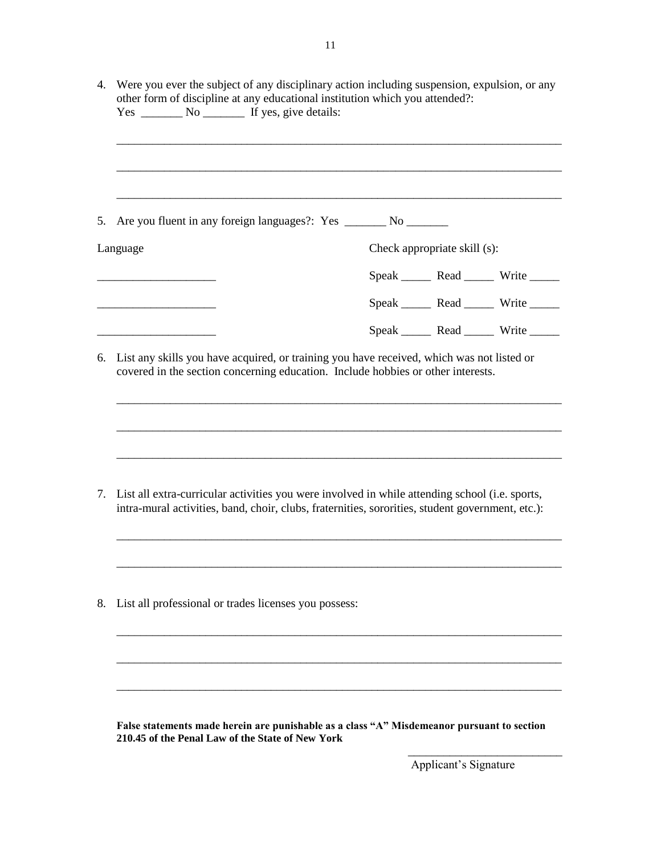| 5.                                                                                           | Are you fluent in any foreign languages?: Yes _______ No _______                                                                                                                                   |                              |                                              |
|----------------------------------------------------------------------------------------------|----------------------------------------------------------------------------------------------------------------------------------------------------------------------------------------------------|------------------------------|----------------------------------------------|
|                                                                                              | Language                                                                                                                                                                                           | Check appropriate skill (s): |                                              |
|                                                                                              |                                                                                                                                                                                                    |                              | Speak _______ Read _______ Write ______      |
|                                                                                              |                                                                                                                                                                                                    |                              | Speak Read Write                             |
|                                                                                              |                                                                                                                                                                                                    |                              | Speak _________ Read _________ Write _______ |
| 6. List any skills you have acquired, or training you have received, which was not listed or | covered in the section concerning education. Include hobbies or other interests.                                                                                                                   |                              |                                              |
|                                                                                              | List all extra-curricular activities you were involved in while attending school (i.e. sports,<br>intra-mural activities, band, choir, clubs, fraternities, sororities, student government, etc.): |                              |                                              |
|                                                                                              | List all professional or trades licenses you possess:                                                                                                                                              |                              |                                              |
| 7.<br>8.                                                                                     |                                                                                                                                                                                                    |                              |                                              |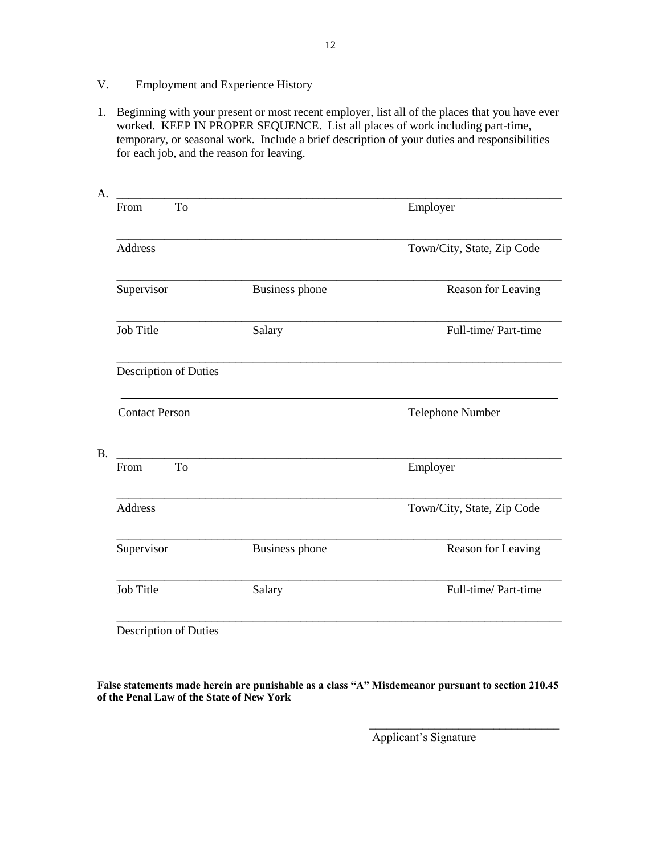- V. Employment and Experience History
- 1. Beginning with your present or most recent employer, list all of the places that you have ever worked. KEEP IN PROPER SEQUENCE. List all places of work including part-time, temporary, or seasonal work. Include a brief description of your duties and responsibilities for each job, and the reason for leaving.

| To<br>From            |                       | Employer                   |
|-----------------------|-----------------------|----------------------------|
| <b>Address</b>        |                       | Town/City, State, Zip Code |
| Supervisor            | <b>Business phone</b> | Reason for Leaving         |
| <b>Job Title</b>      | Salary                | Full-time/Part-time        |
| Description of Duties |                       |                            |
| <b>Contact Person</b> |                       | Telephone Number           |
| To<br>From            |                       | Employer                   |
| <b>Address</b>        |                       | Town/City, State, Zip Code |
| Supervisor            | <b>Business phone</b> | Reason for Leaving         |
| Job Title             | Salary                | Full-time/Part-time        |

**False statements made herein are punishable as a class "A" Misdemeanor pursuant to section 210.45 of the Penal Law of the State of New York**

Applicant's Signature

\_\_\_\_\_\_\_\_\_\_\_\_\_\_\_\_\_\_\_\_\_\_\_\_\_\_\_\_\_\_\_\_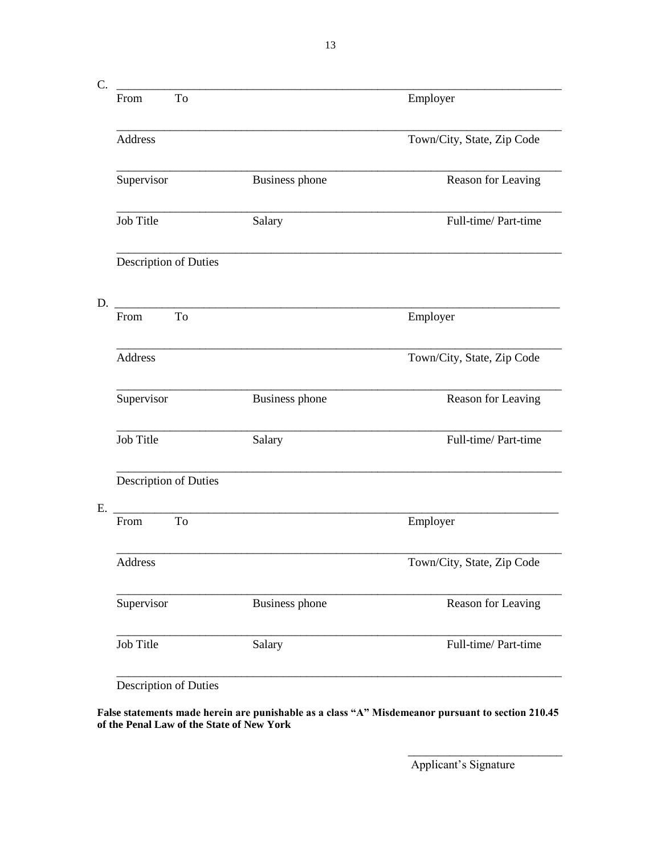| C. |                |                       |                                                                                                                      |                            |
|----|----------------|-----------------------|----------------------------------------------------------------------------------------------------------------------|----------------------------|
|    | From           | To                    |                                                                                                                      | Employer                   |
|    | Address        |                       |                                                                                                                      | Town/City, State, Zip Code |
|    | Supervisor     |                       | <b>Business phone</b>                                                                                                | Reason for Leaving         |
|    | Job Title      |                       | Salary                                                                                                               | Full-time/Part-time        |
|    |                | Description of Duties |                                                                                                                      |                            |
| D. |                |                       |                                                                                                                      |                            |
|    | From           | T <sub>o</sub>        | <u> 1980 - Jan Stein Harry Harry Harry Harry Harry Harry Harry Harry Harry Harry Harry Harry Harry Harry Harry H</u> | Employer                   |
|    | <b>Address</b> |                       |                                                                                                                      | Town/City, State, Zip Code |
|    | Supervisor     |                       | <b>Business phone</b>                                                                                                | Reason for Leaving         |
|    | Job Title      |                       | Salary                                                                                                               | Full-time/ Part-time       |
|    |                | Description of Duties |                                                                                                                      |                            |
| E. |                |                       |                                                                                                                      |                            |
|    | From           | To                    |                                                                                                                      | Employer                   |
|    | Address        |                       |                                                                                                                      | Town/City, State, Zip Code |
|    | Supervisor     |                       | <b>Business phone</b>                                                                                                | Reason for Leaving         |
|    | Job Title      |                       | Salary                                                                                                               | Full-time/Part-time        |
|    |                |                       |                                                                                                                      |                            |

Description of Duties

**False statements made herein are punishable as a class "A" Misdemeanor pursuant to section 210.45 of the Penal Law of the State of New York**

Applicant's Signature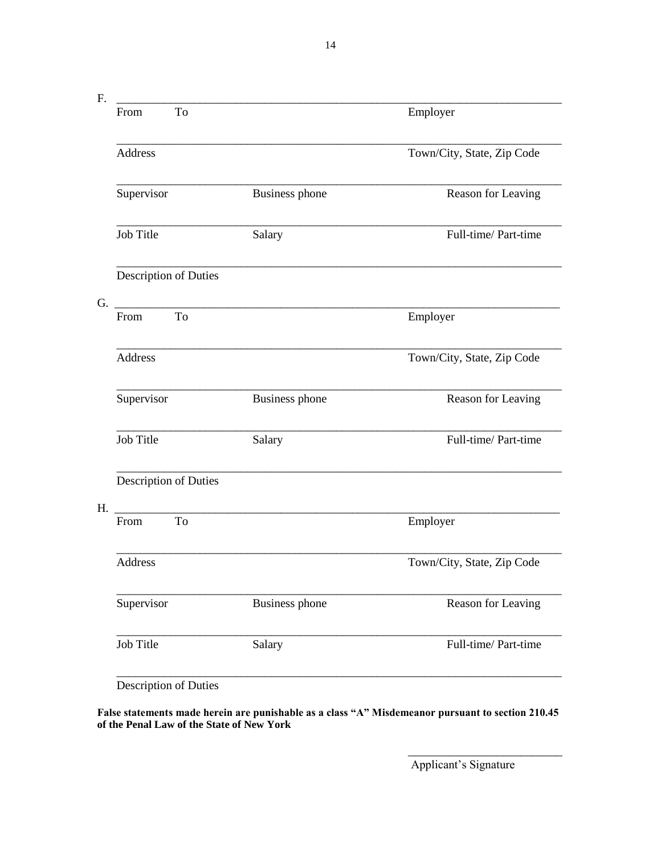F. \_\_\_\_\_\_\_\_\_\_\_\_\_\_\_\_\_\_\_\_\_\_\_\_\_\_\_\_\_\_\_\_\_\_\_\_\_\_\_\_\_\_\_\_\_\_\_\_\_\_\_\_\_\_\_\_\_\_\_\_\_\_\_\_\_\_\_\_\_\_\_\_\_\_\_ From To **Employer** \_\_\_\_\_\_\_\_\_\_\_\_\_\_\_\_\_\_\_\_\_\_\_\_\_\_\_\_\_\_\_\_\_\_\_\_\_\_\_\_\_\_\_\_\_\_\_\_\_\_\_\_\_\_\_\_\_\_\_\_\_\_\_\_\_\_\_\_\_\_\_\_\_\_\_ Address Town/City, State, Zip Code \_\_\_\_\_\_\_\_\_\_\_\_\_\_\_\_\_\_\_\_\_\_\_\_\_\_\_\_\_\_\_\_\_\_\_\_\_\_\_\_\_\_\_\_\_\_\_\_\_\_\_\_\_\_\_\_\_\_\_\_\_\_\_\_\_\_\_\_\_\_\_\_\_\_\_ Supervisor **Business phone** Reason for Leaving \_\_\_\_\_\_\_\_\_\_\_\_\_\_\_\_\_\_\_\_\_\_\_\_\_\_\_\_\_\_\_\_\_\_\_\_\_\_\_\_\_\_\_\_\_\_\_\_\_\_\_\_\_\_\_\_\_\_\_\_\_\_\_\_\_\_\_\_\_\_\_\_\_\_\_ Job Title Salary Full-time/ Part-time \_\_\_\_\_\_\_\_\_\_\_\_\_\_\_\_\_\_\_\_\_\_\_\_\_\_\_\_\_\_\_\_\_\_\_\_\_\_\_\_\_\_\_\_\_\_\_\_\_\_\_\_\_\_\_\_\_\_\_\_\_\_\_\_\_\_\_\_\_\_\_\_\_\_\_ Description of Duties  $G.$   $\qquad \qquad \qquad \qquad$ From To **Employer** \_\_\_\_\_\_\_\_\_\_\_\_\_\_\_\_\_\_\_\_\_\_\_\_\_\_\_\_\_\_\_\_\_\_\_\_\_\_\_\_\_\_\_\_\_\_\_\_\_\_\_\_\_\_\_\_\_\_\_\_\_\_\_\_\_\_\_\_\_\_\_\_\_\_\_ Address Town/City, State, Zip Code \_\_\_\_\_\_\_\_\_\_\_\_\_\_\_\_\_\_\_\_\_\_\_\_\_\_\_\_\_\_\_\_\_\_\_\_\_\_\_\_\_\_\_\_\_\_\_\_\_\_\_\_\_\_\_\_\_\_\_\_\_\_\_\_\_\_\_\_\_\_\_\_\_\_\_ Supervisor **Business phone** Reason for Leaving \_\_\_\_\_\_\_\_\_\_\_\_\_\_\_\_\_\_\_\_\_\_\_\_\_\_\_\_\_\_\_\_\_\_\_\_\_\_\_\_\_\_\_\_\_\_\_\_\_\_\_\_\_\_\_\_\_\_\_\_\_\_\_\_\_\_\_\_\_\_\_\_\_\_\_ Job Title Salary Salary Full-time/ Part-time \_\_\_\_\_\_\_\_\_\_\_\_\_\_\_\_\_\_\_\_\_\_\_\_\_\_\_\_\_\_\_\_\_\_\_\_\_\_\_\_\_\_\_\_\_\_\_\_\_\_\_\_\_\_\_\_\_\_\_\_\_\_\_\_\_\_\_\_\_\_\_\_\_\_\_ Description of Duties H. \_\_\_\_\_\_\_\_\_\_\_\_\_\_\_\_\_\_\_\_\_\_\_\_\_\_\_\_\_\_\_\_\_\_\_\_\_\_\_\_\_\_\_\_\_\_\_\_\_\_\_\_\_\_\_\_\_\_\_\_\_\_\_\_\_\_\_\_\_\_\_\_\_\_\_ From To Employer \_\_\_\_\_\_\_\_\_\_\_\_\_\_\_\_\_\_\_\_\_\_\_\_\_\_\_\_\_\_\_\_\_\_\_\_\_\_\_\_\_\_\_\_\_\_\_\_\_\_\_\_\_\_\_\_\_\_\_\_\_\_\_\_\_\_\_\_\_\_\_\_\_\_\_ Address Town/City, State, Zip Code \_\_\_\_\_\_\_\_\_\_\_\_\_\_\_\_\_\_\_\_\_\_\_\_\_\_\_\_\_\_\_\_\_\_\_\_\_\_\_\_\_\_\_\_\_\_\_\_\_\_\_\_\_\_\_\_\_\_\_\_\_\_\_\_\_\_\_\_\_\_\_\_\_\_\_ Supervisor **Business phone** Reason for Leaving \_\_\_\_\_\_\_\_\_\_\_\_\_\_\_\_\_\_\_\_\_\_\_\_\_\_\_\_\_\_\_\_\_\_\_\_\_\_\_\_\_\_\_\_\_\_\_\_\_\_\_\_\_\_\_\_\_\_\_\_\_\_\_\_\_\_\_\_\_\_\_\_\_\_\_ Job Title Salary Salary Full-time/ Part-time \_\_\_\_\_\_\_\_\_\_\_\_\_\_\_\_\_\_\_\_\_\_\_\_\_\_\_\_\_\_\_\_\_\_\_\_\_\_\_\_\_\_\_\_\_\_\_\_\_\_\_\_\_\_\_\_\_\_\_\_\_\_\_\_\_\_\_\_\_\_\_\_\_\_\_

Description of Duties

**False statements made herein are punishable as a class "A" Misdemeanor pursuant to section 210.45 of the Penal Law of the State of New York**

Applicant's Signature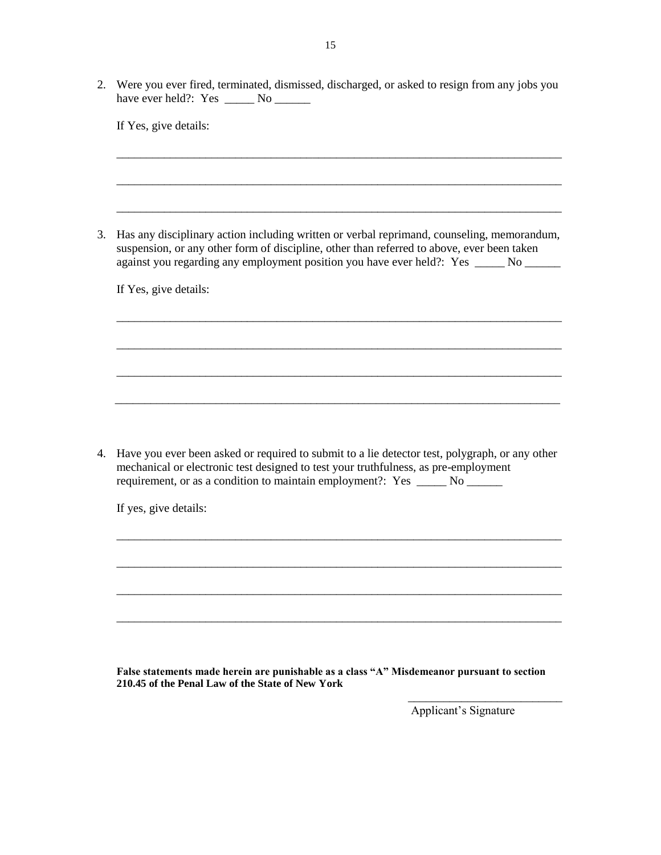2. Were you ever fired, terminated, dismissed, discharged, or asked to resign from any jobs you have ever held?: Yes \_\_\_\_\_\_ No \_\_\_\_\_\_

\_\_\_\_\_\_\_\_\_\_\_\_\_\_\_\_\_\_\_\_\_\_\_\_\_\_\_\_\_\_\_\_\_\_\_\_\_\_\_\_\_\_\_\_\_\_\_\_\_\_\_\_\_\_\_\_\_\_\_\_\_\_\_\_\_\_\_\_\_\_\_\_\_\_\_

\_\_\_\_\_\_\_\_\_\_\_\_\_\_\_\_\_\_\_\_\_\_\_\_\_\_\_\_\_\_\_\_\_\_\_\_\_\_\_\_\_\_\_\_\_\_\_\_\_\_\_\_\_\_\_\_\_\_\_\_\_\_\_\_\_\_\_\_\_\_\_\_\_\_\_

\_\_\_\_\_\_\_\_\_\_\_\_\_\_\_\_\_\_\_\_\_\_\_\_\_\_\_\_\_\_\_\_\_\_\_\_\_\_\_\_\_\_\_\_\_\_\_\_\_\_\_\_\_\_\_\_\_\_\_\_\_\_\_\_\_\_\_\_\_\_\_\_\_\_\_

\_\_\_\_\_\_\_\_\_\_\_\_\_\_\_\_\_\_\_\_\_\_\_\_\_\_\_\_\_\_\_\_\_\_\_\_\_\_\_\_\_\_\_\_\_\_\_\_\_\_\_\_\_\_\_\_\_\_\_\_\_\_\_\_\_\_\_\_\_\_\_\_\_\_\_

\_\_\_\_\_\_\_\_\_\_\_\_\_\_\_\_\_\_\_\_\_\_\_\_\_\_\_\_\_\_\_\_\_\_\_\_\_\_\_\_\_\_\_\_\_\_\_\_\_\_\_\_\_\_\_\_\_\_\_\_\_\_\_\_\_\_\_\_\_\_\_\_\_\_\_

\_\_\_\_\_\_\_\_\_\_\_\_\_\_\_\_\_\_\_\_\_\_\_\_\_\_\_\_\_\_\_\_\_\_\_\_\_\_\_\_\_\_\_\_\_\_\_\_\_\_\_\_\_\_\_\_\_\_\_\_\_\_\_\_\_\_\_\_\_\_\_\_\_\_\_

If Yes, give details:

3. Has any disciplinary action including written or verbal reprimand, counseling, memorandum, suspension, or any other form of discipline, other than referred to above, ever been taken against you regarding any employment position you have ever held?: Yes \_\_\_\_\_ No \_\_\_\_\_\_

If Yes, give details:

4. Have you ever been asked or required to submit to a lie detector test, polygraph, or any other mechanical or electronic test designed to test your truthfulness, as pre-employment requirement, or as a condition to maintain employment?: Yes \_\_\_\_\_\_ No \_\_\_\_\_\_\_

\_\_\_\_\_\_\_\_\_\_\_\_\_\_\_\_\_\_\_\_\_\_\_\_\_\_\_\_\_\_\_\_\_\_\_\_\_\_\_\_\_\_\_\_\_\_\_\_\_\_\_\_\_\_\_\_\_\_\_\_\_\_\_\_\_\_\_\_\_\_\_\_\_\_\_

\_\_\_\_\_\_\_\_\_\_\_\_\_\_\_\_\_\_\_\_\_\_\_\_\_\_\_\_\_\_\_\_\_\_\_\_\_\_\_\_\_\_\_\_\_\_\_\_\_\_\_\_\_\_\_\_\_\_\_\_\_\_\_\_\_\_\_\_\_\_\_\_\_\_\_

\_\_\_\_\_\_\_\_\_\_\_\_\_\_\_\_\_\_\_\_\_\_\_\_\_\_\_\_\_\_\_\_\_\_\_\_\_\_\_\_\_\_\_\_\_\_\_\_\_\_\_\_\_\_\_\_\_\_\_\_\_\_\_\_\_\_\_\_\_\_\_\_\_\_\_

\_\_\_\_\_\_\_\_\_\_\_\_\_\_\_\_\_\_\_\_\_\_\_\_\_\_\_\_\_\_\_\_\_\_\_\_\_\_\_\_\_\_\_\_\_\_\_\_\_\_\_\_\_\_\_\_\_\_\_\_\_\_\_\_\_\_\_\_\_\_\_\_\_\_\_

\_\_\_\_\_\_\_\_\_\_\_\_\_\_\_\_\_\_\_\_\_\_\_\_\_\_\_\_\_\_\_\_\_\_\_\_\_\_\_\_\_\_\_\_\_\_\_\_\_\_\_\_\_\_\_\_\_\_\_\_\_\_\_\_\_\_\_\_\_\_\_\_\_\_\_

If yes, give details:

**False statements made herein are punishable as a class "A" Misdemeanor pursuant to section 210.45 of the Penal Law of the State of New York**

Applicant's Signature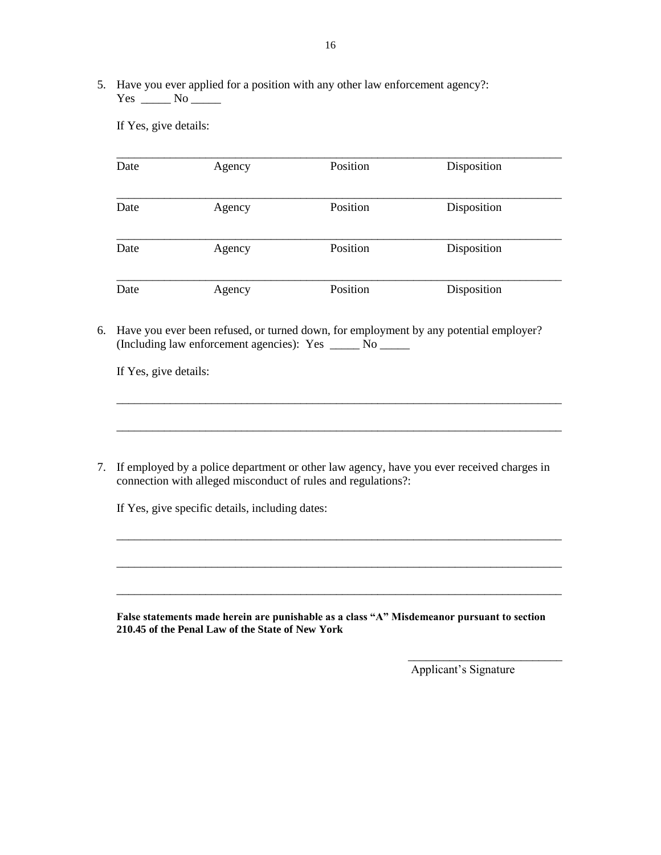5. Have you ever applied for a position with any other law enforcement agency?: Yes \_\_\_\_\_\_ No \_\_\_\_\_

If Yes, give details:

| Date | Agency | Position | Disposition |
|------|--------|----------|-------------|
| Date | Agency | Position | Disposition |
| Date | Agency | Position | Disposition |
| Date | Agency | Position | Disposition |

6. Have you ever been refused, or turned down, for employment by any potential employer? (Including law enforcement agencies): Yes \_\_\_\_\_ No \_\_\_\_\_

If Yes, give details:

7. If employed by a police department or other law agency, have you ever received charges in connection with alleged misconduct of rules and regulations?:

\_\_\_\_\_\_\_\_\_\_\_\_\_\_\_\_\_\_\_\_\_\_\_\_\_\_\_\_\_\_\_\_\_\_\_\_\_\_\_\_\_\_\_\_\_\_\_\_\_\_\_\_\_\_\_\_\_\_\_\_\_\_\_\_\_\_\_\_\_\_\_\_\_\_\_

\_\_\_\_\_\_\_\_\_\_\_\_\_\_\_\_\_\_\_\_\_\_\_\_\_\_\_\_\_\_\_\_\_\_\_\_\_\_\_\_\_\_\_\_\_\_\_\_\_\_\_\_\_\_\_\_\_\_\_\_\_\_\_\_\_\_\_\_\_\_\_\_\_\_\_

\_\_\_\_\_\_\_\_\_\_\_\_\_\_\_\_\_\_\_\_\_\_\_\_\_\_\_\_\_\_\_\_\_\_\_\_\_\_\_\_\_\_\_\_\_\_\_\_\_\_\_\_\_\_\_\_\_\_\_\_\_\_\_\_\_\_\_\_\_\_\_\_\_\_\_

\_\_\_\_\_\_\_\_\_\_\_\_\_\_\_\_\_\_\_\_\_\_\_\_\_\_\_\_\_\_\_\_\_\_\_\_\_\_\_\_\_\_\_\_\_\_\_\_\_\_\_\_\_\_\_\_\_\_\_\_\_\_\_\_\_\_\_\_\_\_\_\_\_\_\_

\_\_\_\_\_\_\_\_\_\_\_\_\_\_\_\_\_\_\_\_\_\_\_\_\_\_\_\_\_\_\_\_\_\_\_\_\_\_\_\_\_\_\_\_\_\_\_\_\_\_\_\_\_\_\_\_\_\_\_\_\_\_\_\_\_\_\_\_\_\_\_\_\_\_\_

If Yes, give specific details, including dates:

**False statements made herein are punishable as a class "A" Misdemeanor pursuant to section 210.45 of the Penal Law of the State of New York**

Applicant's Signature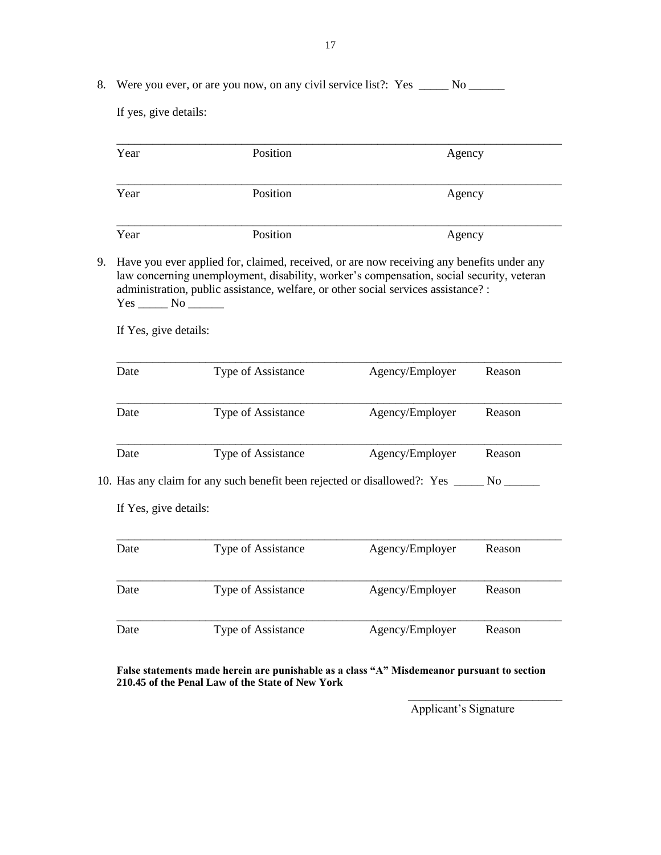8. Were you ever, or are you now, on any civil service list?: Yes \_\_\_\_\_ No \_\_\_\_\_\_

If yes, give details:

| Year                                                | Position                                                                                                                                                                                                                                                                    |                 | Agency |  |  |
|-----------------------------------------------------|-----------------------------------------------------------------------------------------------------------------------------------------------------------------------------------------------------------------------------------------------------------------------------|-----------------|--------|--|--|
| Year                                                | Position                                                                                                                                                                                                                                                                    |                 | Agency |  |  |
| Year                                                | Position                                                                                                                                                                                                                                                                    | Agency          |        |  |  |
| 9.<br>$Yes$ No $\_\_\_\_\$<br>If Yes, give details: | Have you ever applied for, claimed, received, or are now receiving any benefits under any<br>law concerning unemployment, disability, worker's compensation, social security, veteran<br>administration, public assistance, welfare, or other social services assistance? : |                 |        |  |  |
| Date                                                | Type of Assistance                                                                                                                                                                                                                                                          | Agency/Employer | Reason |  |  |
| Date                                                | Type of Assistance                                                                                                                                                                                                                                                          | Agency/Employer | Reason |  |  |
| Date                                                | Type of Assistance                                                                                                                                                                                                                                                          | Agency/Employer | Reason |  |  |
|                                                     | 10. Has any claim for any such benefit been rejected or disallowed?: Yes ______ No ______                                                                                                                                                                                   |                 |        |  |  |
| If Yes, give details:                               |                                                                                                                                                                                                                                                                             |                 |        |  |  |
| Date                                                | Type of Assistance                                                                                                                                                                                                                                                          | Agency/Employer | Reason |  |  |
| Date                                                | Type of Assistance                                                                                                                                                                                                                                                          | Agency/Employer | Reason |  |  |
| Date                                                | Type of Assistance                                                                                                                                                                                                                                                          | Agency/Employer | Reason |  |  |

**False statements made herein are punishable as a class "A" Misdemeanor pursuant to section 210.45 of the Penal Law of the State of New York**

Applicant's Signature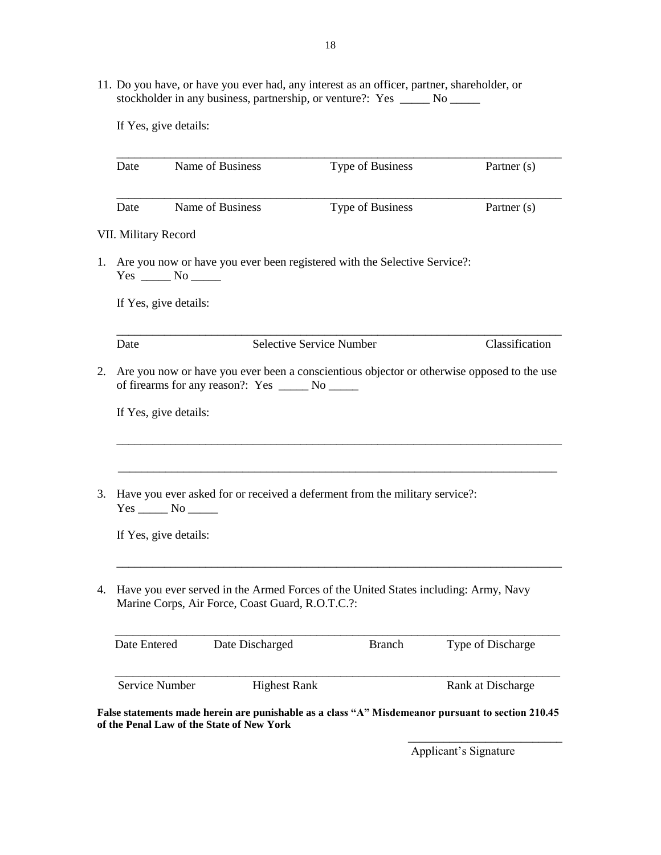11. Do you have, or have you ever had, any interest as an officer, partner, shareholder, or stockholder in any business, partnership, or venture?: Yes \_\_\_\_\_ No \_\_\_\_\_\_

If Yes, give details:

|                      |                        | Name of Business                                   | Type of Business                                                                           | Partner (s)       |
|----------------------|------------------------|----------------------------------------------------|--------------------------------------------------------------------------------------------|-------------------|
| Date                 |                        | Name of Business                                   | Type of Business                                                                           | Partner (s)       |
| VII. Military Record |                        |                                                    |                                                                                            |                   |
| 1.                   | $Yes \_\_\_ No \_\_\_$ |                                                    | Are you now or have you ever been registered with the Selective Service?:                  |                   |
|                      | If Yes, give details:  |                                                    |                                                                                            |                   |
| Date                 |                        |                                                    | <b>Selective Service Number</b>                                                            | Classification    |
|                      |                        | of firearms for any reason?: Yes _______ No ______ | Are you now or have you ever been a conscientious objector or otherwise opposed to the use |                   |
|                      | If Yes, give details:  |                                                    |                                                                                            |                   |
|                      |                        |                                                    |                                                                                            |                   |
|                      |                        |                                                    | Have you ever asked for or received a deferment from the military service?:                |                   |
|                      | If Yes, give details:  |                                                    |                                                                                            |                   |
| 4.                   |                        | Marine Corps, Air Force, Coast Guard, R.O.T.C.?:   | Have you ever served in the Armed Forces of the United States including: Army, Navy        |                   |
| Date Entered         |                        | Date Discharged                                    | <b>Branch</b>                                                                              | Type of Discharge |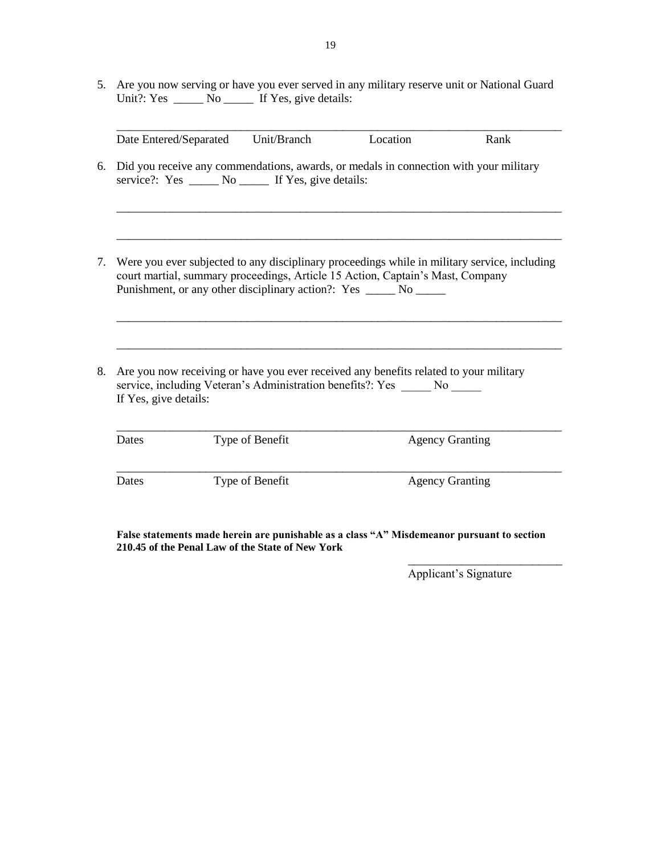5. Are you now serving or have you ever served in any military reserve unit or National Guard Unit?: Yes \_\_\_\_\_\_ No \_\_\_\_\_\_ If Yes, give details:

|                       | Date Entered/Separated | Unit/Branch                                            | Location                                                                                                                                                            | Rank                                                                                         |
|-----------------------|------------------------|--------------------------------------------------------|---------------------------------------------------------------------------------------------------------------------------------------------------------------------|----------------------------------------------------------------------------------------------|
|                       |                        | service?: Yes _______ No _______ If Yes, give details: | Did you receive any commendations, awards, or medals in connection with your military                                                                               |                                                                                              |
|                       |                        |                                                        | court martial, summary proceedings, Article 15 Action, Captain's Mast, Company<br>Punishment, or any other disciplinary action?: Yes ______ No ______               | Were you ever subjected to any disciplinary proceedings while in military service, including |
|                       |                        |                                                        |                                                                                                                                                                     |                                                                                              |
| If Yes, give details: |                        |                                                        | Are you now receiving or have you ever received any benefits related to your military<br>service, including Veteran's Administration benefits?: Yes ______ No _____ |                                                                                              |
| Dates                 |                        | Type of Benefit                                        |                                                                                                                                                                     | <b>Agency Granting</b>                                                                       |

**False statements made herein are punishable as a class "A" Misdemeanor pursuant to section 210.45 of the Penal Law of the State of New York**

Applicant's Signature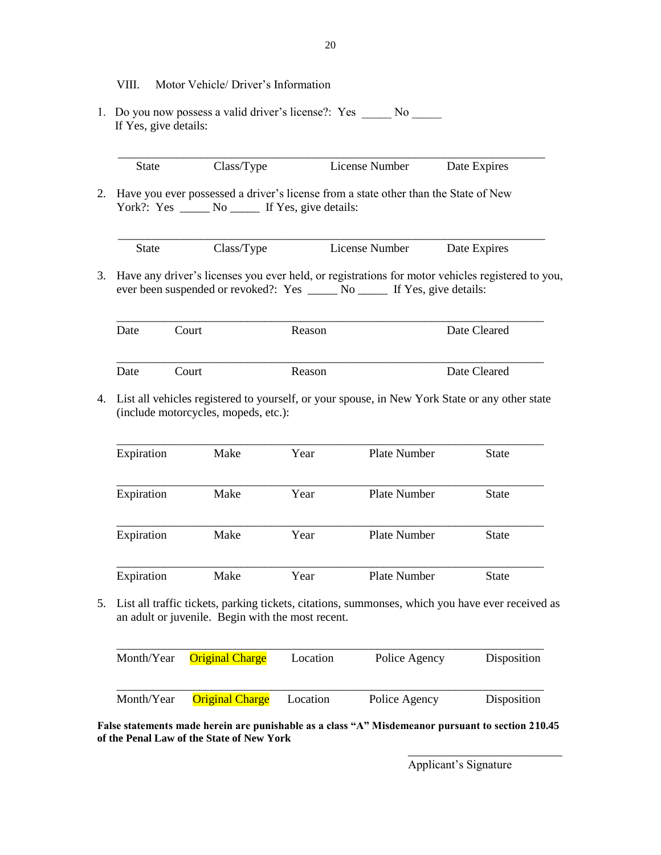- VIII. Motor Vehicle/ Driver's Information
- 1. Do you now possess a valid driver's license?: Yes \_\_\_\_\_\_ No \_\_\_\_\_\_ If Yes, give details:

|  | nber<br>$10.4$ me $\mu$ | $-11$<br>∼ |  |
|--|-------------------------|------------|--|

2. Have you ever possessed a driver's license from a state other than the State of New York?: Yes \_\_\_\_\_\_ No \_\_\_\_\_\_ If Yes, give details:

 \_\_\_\_\_\_\_\_\_\_\_\_\_\_\_\_\_\_\_\_\_\_\_\_\_\_\_\_\_\_\_\_\_\_\_\_\_\_\_\_\_\_\_\_\_\_\_\_\_\_\_\_\_\_\_\_\_\_\_\_\_\_\_\_\_\_\_\_\_\_\_\_ State Class/Type License Number Date Expires

3. Have any driver's licenses you ever held, or registrations for motor vehicles registered to you, ever been suspended or revoked?: Yes \_\_\_\_\_ No \_\_\_\_\_ If Yes, give details:

| Date | Court | Reason | Date Cleared |
|------|-------|--------|--------------|
| Date | Court | Reason | Date Cleared |

4. List all vehicles registered to yourself, or your spouse, in New York State or any other state (include motorcycles, mopeds, etc.):

| Expiration | Make | Year | Plate Number | <b>State</b> |
|------------|------|------|--------------|--------------|
| Expiration | Make | Year | Plate Number | <b>State</b> |
| Expiration | Make | Year | Plate Number | <b>State</b> |
| Expiration | Make | Year | Plate Number | State        |

5. List all traffic tickets, parking tickets, citations, summonses, which you have ever received as an adult or juvenile. Begin with the most recent.

| Month/Year | <b>Original Charge</b> | Location | Police Agency | Disposition |
|------------|------------------------|----------|---------------|-------------|
| Month/Year | <b>Original Charge</b> | Location | Police Agency | Disposition |

**False statements made herein are punishable as a class "A" Misdemeanor pursuant to section 210.45 of the Penal Law of the State of New York**

> \_\_\_\_\_\_\_\_\_\_\_\_\_\_\_\_\_\_\_\_\_\_\_\_\_\_ Applicant's Signature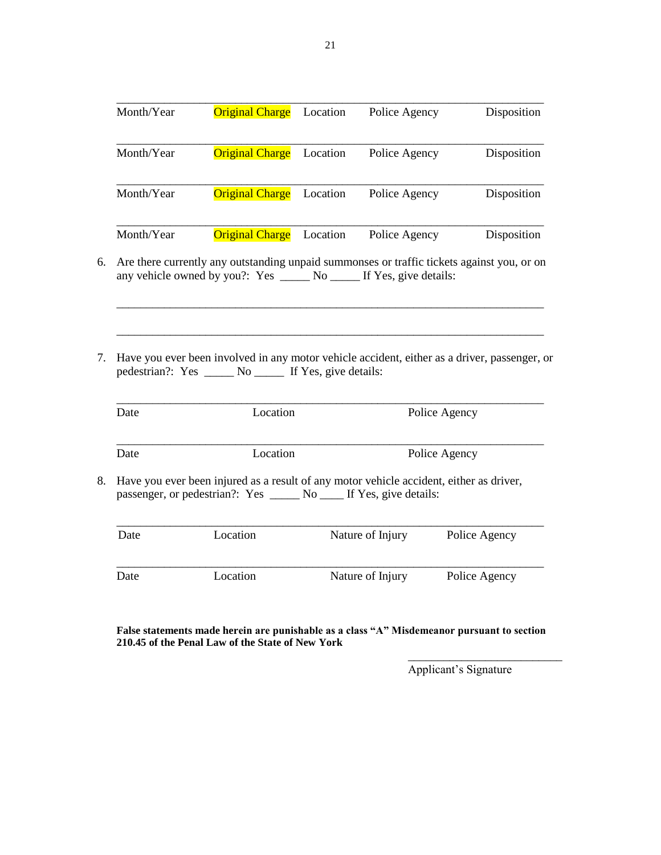| Month/Year | <b>Original Charge</b>                                                                                                                                              | Location | Police Agency    |               | Disposition   |
|------------|---------------------------------------------------------------------------------------------------------------------------------------------------------------------|----------|------------------|---------------|---------------|
| Month/Year | <b>Original Charge</b>                                                                                                                                              | Location | Police Agency    |               | Disposition   |
| Month/Year | <b>Original Charge</b>                                                                                                                                              | Location | Police Agency    |               | Disposition   |
| Month/Year | <b>Original Charge</b>                                                                                                                                              | Location | Police Agency    |               | Disposition   |
|            | Are there currently any outstanding unpaid summonses or traffic tickets against you, or on<br>any vehicle owned by you?: Yes ______ No ______ If Yes, give details: |          |                  |               |               |
|            |                                                                                                                                                                     |          |                  |               |               |
|            |                                                                                                                                                                     |          |                  |               |               |
|            |                                                                                                                                                                     |          |                  |               |               |
|            | Have you ever been involved in any motor vehicle accident, either as a driver, passenger, or<br>pedestrian?: Yes _______ No _______ If Yes, give details:           |          |                  |               |               |
| Date       | Location                                                                                                                                                            |          |                  | Police Agency |               |
| Date       | Location                                                                                                                                                            |          |                  | Police Agency |               |
|            | Have you ever been injured as a result of any motor vehicle accident, either as driver,<br>passenger, or pedestrian?: Yes _______ No _____ If Yes, give details:    |          |                  |               |               |
| Date       | Location                                                                                                                                                            |          | Nature of Injury |               | Police Agency |

**False statements made herein are punishable as a class "A" Misdemeanor pursuant to section 210.45 of the Penal Law of the State of New York**

Applicant's Signature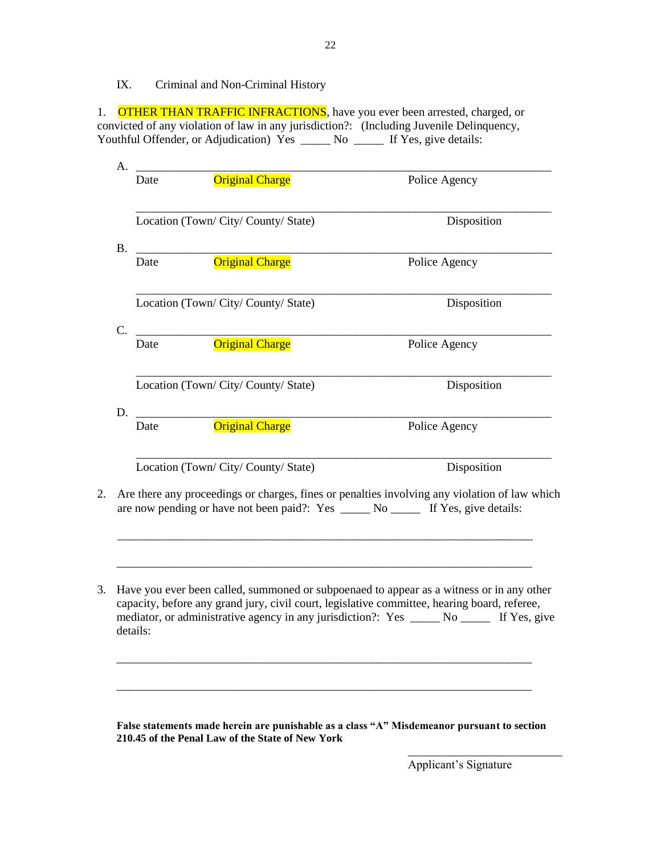IX. Criminal and Non-Criminal History

1. OTHER THAN TRAFFIC INFRACTIONS, have you ever been arrested, charged, or convicted of any violation of law in any jurisdiction?: (Including Juvenile Delinquency, Youthful Offender, or Adjudication) Yes \_\_\_\_\_ No \_\_\_\_\_ If Yes, give details:

22

|    | Date       | <b>Original Charge</b>                                                                   | Police Agency                                                                                 |
|----|------------|------------------------------------------------------------------------------------------|-----------------------------------------------------------------------------------------------|
|    |            | Location (Town/City/County/State)                                                        | Disposition                                                                                   |
| В. | Date       | <b>Original Charge</b>                                                                   | Police Agency                                                                                 |
|    |            | Location (Town/City/County/State)                                                        | Disposition                                                                                   |
|    | C.<br>Date | <b>Original Charge</b>                                                                   | Police Agency                                                                                 |
|    |            | Location (Town/City/County/State)                                                        | Disposition                                                                                   |
| D. | Date       | <u> 1980 - Jan Stein Harry Harry Barnett, amerikan bisa da</u><br><b>Original Charge</b> | Police Agency                                                                                 |
|    |            | Location (Town/City/County/State)                                                        | Disposition                                                                                   |
|    |            | are now pending or have not been paid?: Yes _______ No _______ If Yes, give details:     | Are there any proceedings or charges, fines or penalties involving any violation of law which |
|    |            |                                                                                          |                                                                                               |

**False statements made herein are punishable as a class "A" Misdemeanor pursuant to section 210.45 of the Penal Law of the State of New York**

Applicant's Signature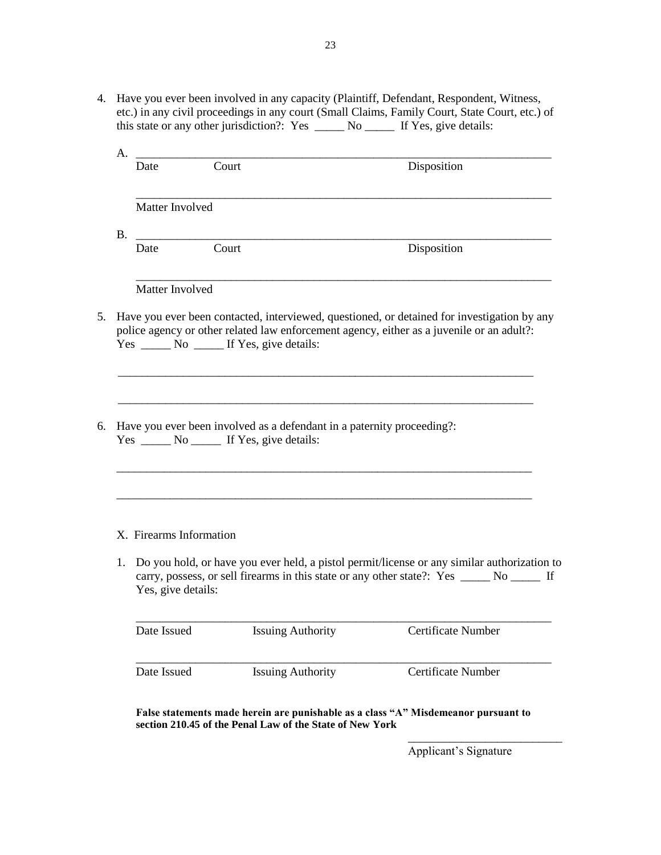4. Have you ever been involved in any capacity (Plaintiff, Defendant, Respondent, Witness, etc.) in any civil proceedings in any court (Small Claims, Family Court, State Court, etc.) of this state or any other jurisdiction?: Yes \_\_\_\_\_ No \_\_\_\_\_ If Yes, give details:

| A <sub>1</sub> | Date                    | Court                                                                                                                  | Disposition                                                                                                                                                                              |
|----------------|-------------------------|------------------------------------------------------------------------------------------------------------------------|------------------------------------------------------------------------------------------------------------------------------------------------------------------------------------------|
|                |                         |                                                                                                                        |                                                                                                                                                                                          |
|                | Matter Involved         |                                                                                                                        |                                                                                                                                                                                          |
| <b>B.</b>      | Date                    | <u> 1980 - Johann Stoff, fransk politik (d. 1980)</u><br>Court                                                         | Disposition                                                                                                                                                                              |
|                |                         |                                                                                                                        |                                                                                                                                                                                          |
|                | Matter Involved         |                                                                                                                        |                                                                                                                                                                                          |
|                |                         |                                                                                                                        | Have you ever been contacted, interviewed, questioned, or detained for investigation by any<br>police agency or other related law enforcement agency, either as a juvenile or an adult?: |
|                |                         |                                                                                                                        |                                                                                                                                                                                          |
|                |                         | Have you ever been involved as a defendant in a paternity proceeding?:<br>Yes _______ No _______ If Yes, give details: |                                                                                                                                                                                          |
|                |                         |                                                                                                                        |                                                                                                                                                                                          |
|                | X. Firearms Information |                                                                                                                        |                                                                                                                                                                                          |

Date Issued Issuing Authority Certificate Number \_\_\_\_\_\_\_\_\_\_\_\_\_\_\_\_\_\_\_\_\_\_\_\_\_\_\_\_\_\_\_\_\_\_\_\_\_\_\_\_\_\_\_\_\_\_\_\_\_\_\_\_\_\_\_\_\_\_\_\_\_\_\_\_\_\_\_\_\_\_ Date Issued Issuing Authority Certificate Number

**False statements made herein are punishable as a class "A" Misdemeanor pursuant to section 210.45 of the Penal Law of the State of New York**

Applicant's Signature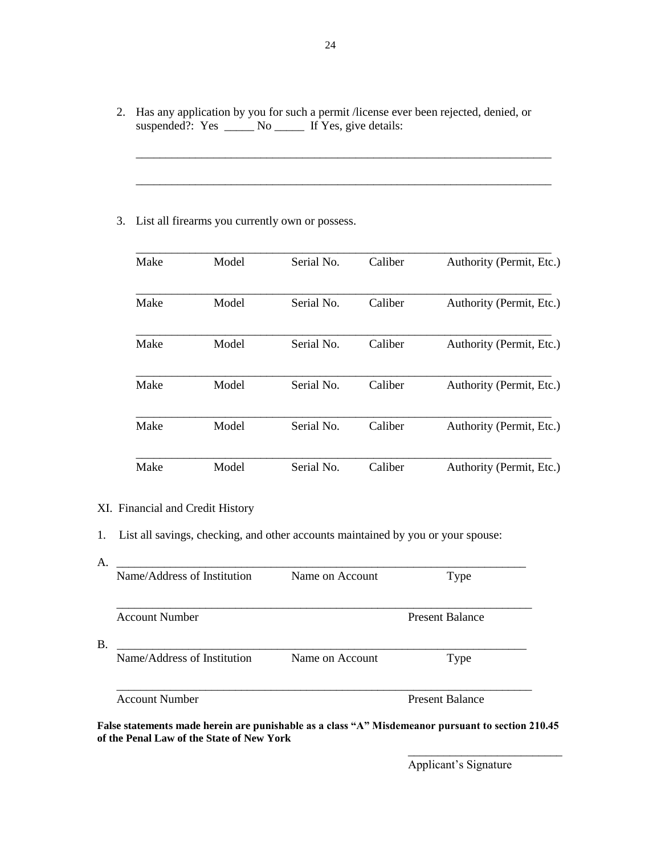2. Has any application by you for such a permit /license ever been rejected, denied, or suspended?: Yes \_\_\_\_\_ No \_\_\_\_\_ If Yes, give details:

\_\_\_\_\_\_\_\_\_\_\_\_\_\_\_\_\_\_\_\_\_\_\_\_\_\_\_\_\_\_\_\_\_\_\_\_\_\_\_\_\_\_\_\_\_\_\_\_\_\_\_\_\_\_\_\_\_\_\_\_\_\_\_\_\_\_\_\_\_\_

\_\_\_\_\_\_\_\_\_\_\_\_\_\_\_\_\_\_\_\_\_\_\_\_\_\_\_\_\_\_\_\_\_\_\_\_\_\_\_\_\_\_\_\_\_\_\_\_\_\_\_\_\_\_\_\_\_\_\_\_\_\_\_\_\_\_\_\_\_\_

3. List all firearms you currently own or possess.

| Make | Model | Serial No. | Caliber | Authority (Permit, Etc.) |
|------|-------|------------|---------|--------------------------|
| Make | Model | Serial No. | Caliber | Authority (Permit, Etc.) |
| Make | Model | Serial No. | Caliber | Authority (Permit, Etc.) |
| Make | Model | Serial No. | Caliber | Authority (Permit, Etc.) |
| Make | Model | Serial No. | Caliber | Authority (Permit, Etc.) |
| Make | Model | Serial No. | Caliber | Authority (Permit, Etc.) |

## XI. Financial and Credit History

1. List all savings, checking, and other accounts maintained by you or your spouse:

| Name/Address of Institution | Name on Account | Type                   |
|-----------------------------|-----------------|------------------------|
| <b>Account Number</b>       |                 | <b>Present Balance</b> |
| Name/Address of Institution | Name on Account | Type                   |
| <b>Account Number</b>       |                 | <b>Present Balance</b> |

**False statements made herein are punishable as a class "A" Misdemeanor pursuant to section 210.45 of the Penal Law of the State of New York**

\_\_\_\_\_\_\_\_\_\_\_\_\_\_\_\_\_\_\_\_\_\_\_\_\_\_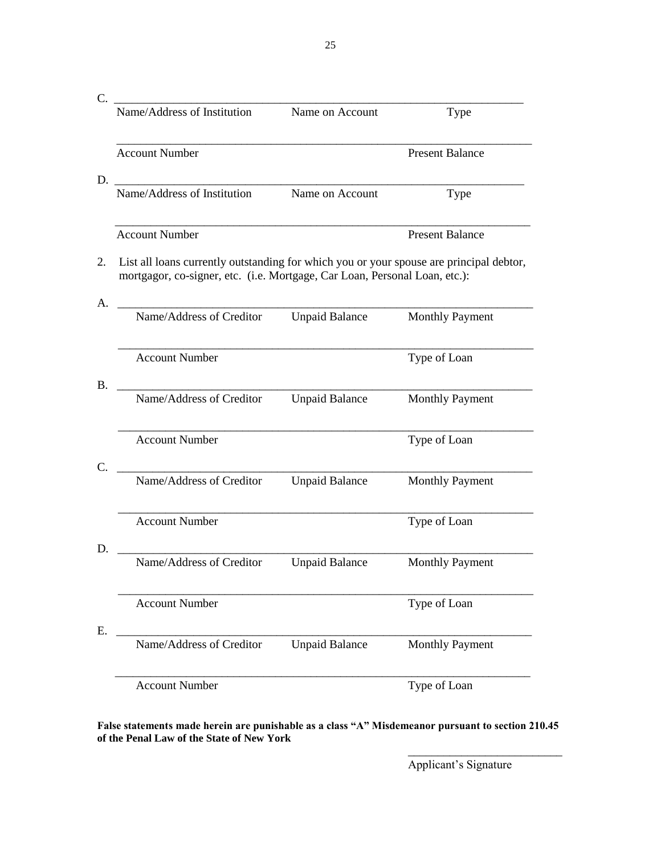| Name/Address of Institution                                                                                                                                           | Name on Account       | Type                   |
|-----------------------------------------------------------------------------------------------------------------------------------------------------------------------|-----------------------|------------------------|
|                                                                                                                                                                       |                       |                        |
| <b>Account Number</b>                                                                                                                                                 |                       | <b>Present Balance</b> |
| D.                                                                                                                                                                    |                       |                        |
| Name/Address of Institution                                                                                                                                           | Name on Account       | Type                   |
| <b>Account Number</b>                                                                                                                                                 |                       | <b>Present Balance</b> |
| List all loans currently outstanding for which you or your spouse are principal debtor,<br>mortgagor, co-signer, etc. (i.e. Mortgage, Car Loan, Personal Loan, etc.): |                       |                        |
| Name/Address of Creditor                                                                                                                                              | <b>Unpaid Balance</b> | <b>Monthly Payment</b> |
| <b>Account Number</b>                                                                                                                                                 |                       | Type of Loan           |
| Name/Address of Creditor                                                                                                                                              | <b>Unpaid Balance</b> | <b>Monthly Payment</b> |
| <b>Account Number</b>                                                                                                                                                 |                       | Type of Loan           |
| Name/Address of Creditor                                                                                                                                              | <b>Unpaid Balance</b> | <b>Monthly Payment</b> |
| <b>Account Number</b>                                                                                                                                                 |                       | Type of Loan           |
| Name/Address of Creditor                                                                                                                                              | <b>Unpaid Balance</b> | <b>Monthly Payment</b> |
| <b>Account Number</b>                                                                                                                                                 |                       | Type of Loan           |
| Name/Address of Creditor                                                                                                                                              | <b>Unpaid Balance</b> | <b>Monthly Payment</b> |
| <b>Account Number</b>                                                                                                                                                 |                       | Type of Loan           |

**False statements made herein are punishable as a class "A" Misdemeanor pursuant to section 210.45 of the Penal Law of the State of New York**

25

Applicant's Signature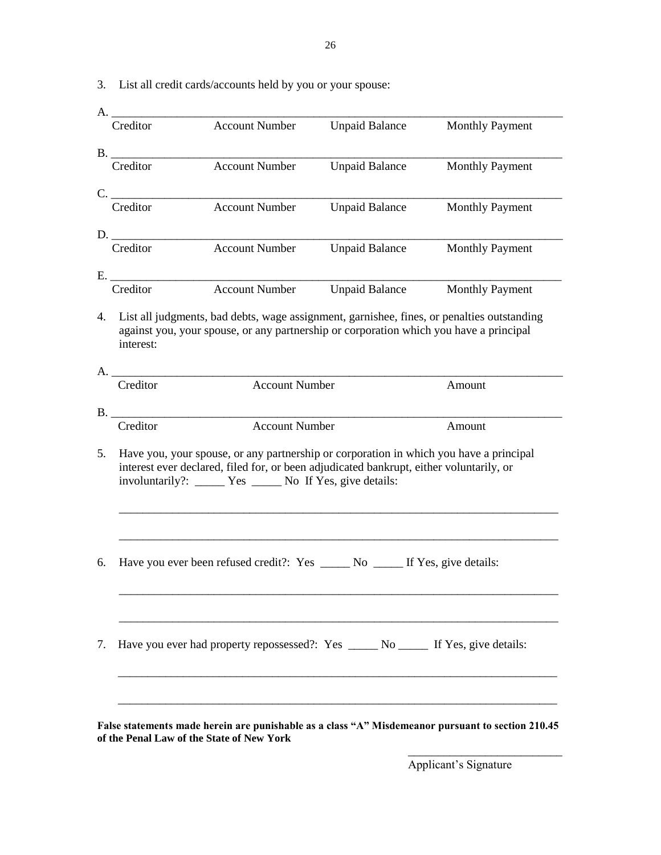3. List all credit cards/accounts held by you or your spouse:

| Creditor          |                                                                                                                                                                                         |                       |                        |
|-------------------|-----------------------------------------------------------------------------------------------------------------------------------------------------------------------------------------|-----------------------|------------------------|
|                   | <b>Account Number</b>                                                                                                                                                                   | <b>Unpaid Balance</b> | <b>Monthly Payment</b> |
| B.                |                                                                                                                                                                                         |                       |                        |
| Creditor          | <b>Account Number</b>                                                                                                                                                                   | <b>Unpaid Balance</b> | <b>Monthly Payment</b> |
| C.                |                                                                                                                                                                                         |                       |                        |
| Creditor          | <b>Account Number</b>                                                                                                                                                                   | <b>Unpaid Balance</b> | <b>Monthly Payment</b> |
| D.                |                                                                                                                                                                                         |                       |                        |
| Creditor          | <b>Account Number</b>                                                                                                                                                                   | <b>Unpaid Balance</b> | <b>Monthly Payment</b> |
| E.                |                                                                                                                                                                                         |                       |                        |
| Creditor          | <b>Account Number</b>                                                                                                                                                                   | <b>Unpaid Balance</b> | <b>Monthly Payment</b> |
| interest:         | 4. List all judgments, bad debts, wage assignment, garnishee, fines, or penalties outstanding<br>against you, your spouse, or any partnership or corporation which you have a principal |                       |                        |
| A. Q.<br>Creditor | <b>Account Number</b>                                                                                                                                                                   |                       | Amount                 |
|                   |                                                                                                                                                                                         |                       |                        |
| B.<br>Creditor    | <b>Account Number</b>                                                                                                                                                                   |                       | Amount                 |
|                   | Have you, your spouse, or any partnership or corporation in which you have a principal<br>interest ever declared, filed for, or been adjudicated bankrupt, either voluntarily, or       |                       |                        |
|                   | involuntarily?: _____ Yes _____ No If Yes, give details:                                                                                                                                |                       |                        |
|                   | Have you ever been refused credit?: Yes _______ No _______ If Yes, give details:                                                                                                        |                       |                        |

**of the Penal Law of the State of New York**

Applicant's Signature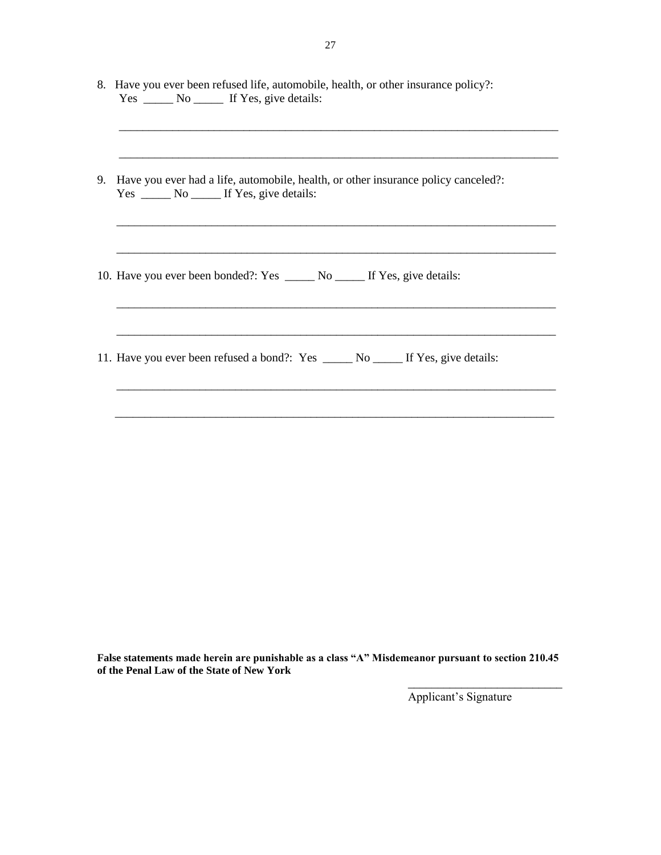| 8. Have you ever been refused life, automobile, health, or other insurance policy?:   |
|---------------------------------------------------------------------------------------|
| 9. Have you ever had a life, automobile, health, or other insurance policy canceled?: |
| 10. Have you ever been bonded?: Yes _______ No _______ If Yes, give details:          |
|                                                                                       |
|                                                                                       |

**False statements made herein are punishable as a class "A" Misdemeanor pursuant to section 210.45 of the Penal Law of the State of New York**

Applicant's Signature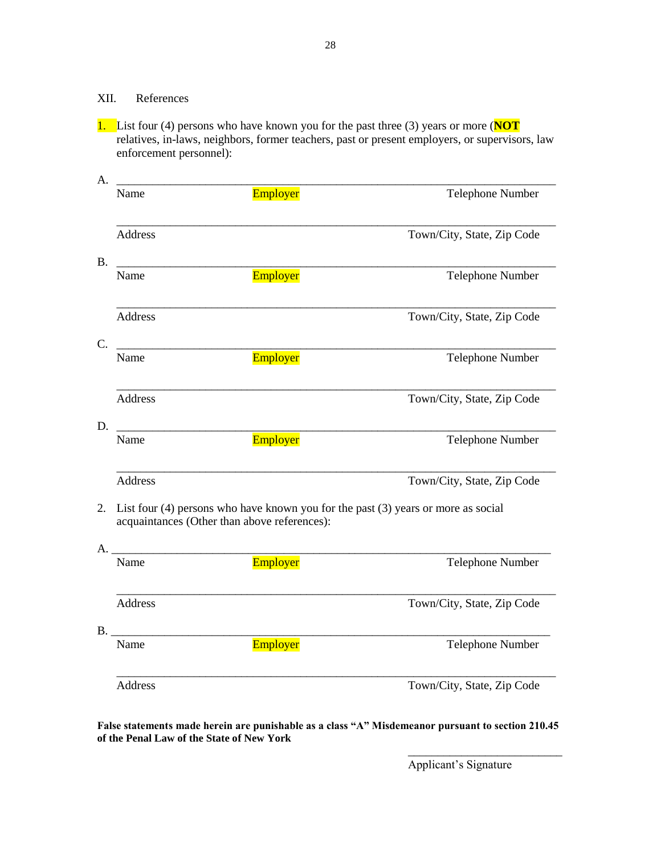# XII. References

1. List four (4) persons who have known you for the past three (3) years or more (**NOT** relatives, in-laws, neighbors, former teachers, past or present employers, or supervisors, law enforcement personnel):

28

| Name           | Employer                                     | <b>Telephone Number</b>                                                               |
|----------------|----------------------------------------------|---------------------------------------------------------------------------------------|
| <b>Address</b> |                                              | Town/City, State, Zip Code                                                            |
| Name           | Employer                                     | Telephone Number                                                                      |
| <b>Address</b> |                                              | Town/City, State, Zip Code                                                            |
| Name           | Employer                                     | Telephone Number                                                                      |
| <b>Address</b> |                                              | Town/City, State, Zip Code                                                            |
| Name           | Employer                                     | Telephone Number                                                                      |
| <b>Address</b> |                                              | Town/City, State, Zip Code                                                            |
|                | acquaintances (Other than above references): | List four $(4)$ persons who have known you for the past $(3)$ years or more as social |
| $A_{\cdot}$    |                                              |                                                                                       |
| Name           | Employer                                     | Telephone Number                                                                      |
| Address        |                                              | Town/City, State, Zip Code                                                            |
| B.<br>Name     | Employer                                     | Telephone Number                                                                      |
| <b>Address</b> |                                              | Town/City, State, Zip Code                                                            |

**False statements made herein are punishable as a class "A" Misdemeanor pursuant to section 210.45 of the Penal Law of the State of New York**

Applicant's Signature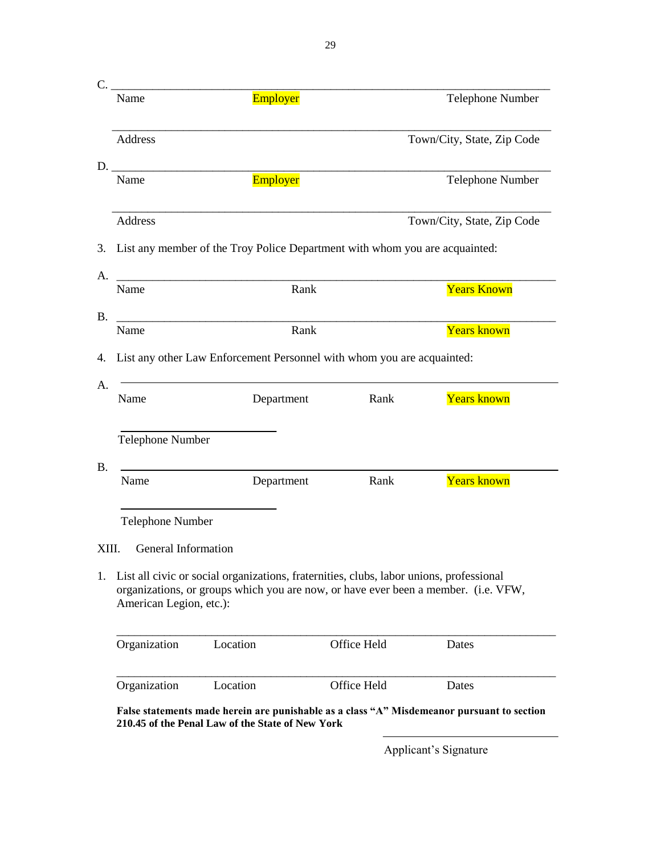| C.<br>Name                                               | Employer                                                                                                                                                                         |             | <b>Telephone Number</b>    |
|----------------------------------------------------------|----------------------------------------------------------------------------------------------------------------------------------------------------------------------------------|-------------|----------------------------|
|                                                          |                                                                                                                                                                                  |             |                            |
| Address                                                  |                                                                                                                                                                                  |             | Town/City, State, Zip Code |
| D.<br>Name                                               | Employer                                                                                                                                                                         |             | Telephone Number           |
| Address                                                  |                                                                                                                                                                                  |             | Town/City, State, Zip Code |
|                                                          | List any member of the Troy Police Department with whom you are acquainted:                                                                                                      |             |                            |
| Name                                                     | <u> 1980 - Jan James James Barnett, fizik amerikan bizi dago da barnetza da baina da barnetza da barnetza da ba</u><br>Rank                                                      |             | <b>Years Known</b>         |
| Name                                                     | Rank                                                                                                                                                                             |             | <b>Years known</b>         |
|                                                          |                                                                                                                                                                                  |             |                            |
|                                                          | List any other Law Enforcement Personnel with whom you are acquainted:                                                                                                           |             |                            |
|                                                          | Department                                                                                                                                                                       | Rank        | Years known                |
|                                                          |                                                                                                                                                                                  |             |                            |
| Name                                                     | Department                                                                                                                                                                       | Rank        | <b>Years known</b>         |
| <b>Telephone Number</b>                                  |                                                                                                                                                                                  |             |                            |
| General Information                                      |                                                                                                                                                                                  |             |                            |
| <b>Telephone Number</b>                                  | 1. List all civic or social organizations, fraternities, clubs, labor unions, professional<br>organizations, or groups which you are now, or have ever been a member. (i.e. VFW, |             |                            |
| Name<br>XIII.<br>American Legion, etc.):<br>Organization | Location                                                                                                                                                                         | Office Held | Dates                      |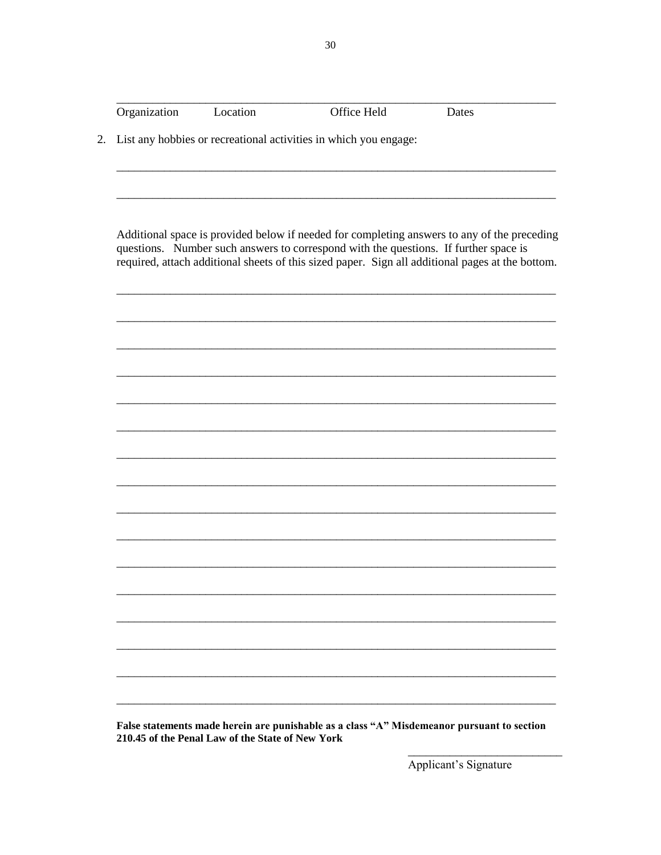| Organization | Location | Office Held                                                                          | Dates                                                                                                                                                                                           |
|--------------|----------|--------------------------------------------------------------------------------------|-------------------------------------------------------------------------------------------------------------------------------------------------------------------------------------------------|
|              |          | List any hobbies or recreational activities in which you engage:                     |                                                                                                                                                                                                 |
|              |          | questions. Number such answers to correspond with the questions. If further space is | Additional space is provided below if needed for completing answers to any of the preceding<br>required, attach additional sheets of this sized paper. Sign all additional pages at the bottom. |
|              |          |                                                                                      |                                                                                                                                                                                                 |
|              |          |                                                                                      |                                                                                                                                                                                                 |
|              |          |                                                                                      |                                                                                                                                                                                                 |
|              |          |                                                                                      |                                                                                                                                                                                                 |
|              |          |                                                                                      |                                                                                                                                                                                                 |
|              |          |                                                                                      |                                                                                                                                                                                                 |
|              |          |                                                                                      |                                                                                                                                                                                                 |
|              |          |                                                                                      |                                                                                                                                                                                                 |
|              |          |                                                                                      |                                                                                                                                                                                                 |

False statements made herein are punishable as a class "A" Misdemeanor pursuant to section 210.45 of the Penal Law of the State of New York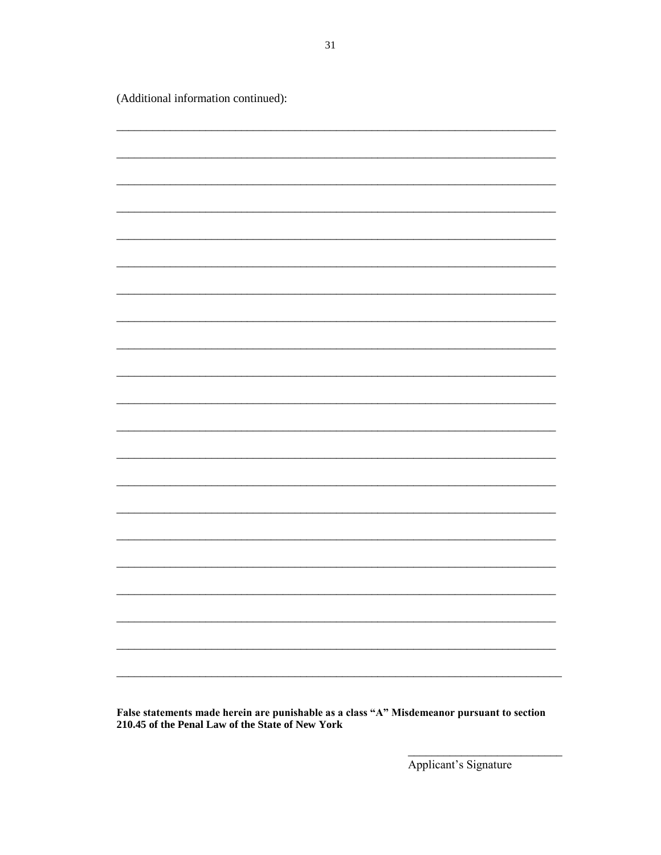(Additional information continued):

False statements made herein are punishable as a class "A" Misdemeanor pursuant to section 210.45 of the Penal Law of the State of New York